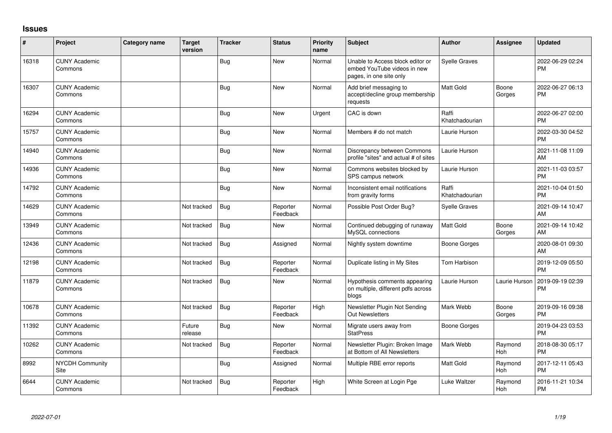## **Issues**

| #     | Project                         | Category name | Target<br>version | <b>Tracker</b> | <b>Status</b>        | Priority<br>name | <b>Subject</b>                                                                             | Author                  | Assignee        | <b>Updated</b>                |
|-------|---------------------------------|---------------|-------------------|----------------|----------------------|------------------|--------------------------------------------------------------------------------------------|-------------------------|-----------------|-------------------------------|
| 16318 | <b>CUNY Academic</b><br>Commons |               |                   | Bug            | <b>New</b>           | Normal           | Unable to Access block editor or<br>embed YouTube videos in new<br>pages, in one site only | <b>Syelle Graves</b>    |                 | 2022-06-29 02:24<br><b>PM</b> |
| 16307 | <b>CUNY Academic</b><br>Commons |               |                   | <b>Bug</b>     | <b>New</b>           | Normal           | Add brief messaging to<br>accept/decline group membership<br>requests                      | <b>Matt Gold</b>        | Boone<br>Gorges | 2022-06-27 06:13<br><b>PM</b> |
| 16294 | <b>CUNY Academic</b><br>Commons |               |                   | Bug            | <b>New</b>           | Urgent           | CAC is down                                                                                | Raffi<br>Khatchadourian |                 | 2022-06-27 02:00<br><b>PM</b> |
| 15757 | <b>CUNY Academic</b><br>Commons |               |                   | Bug            | <b>New</b>           | Normal           | Members # do not match                                                                     | Laurie Hurson           |                 | 2022-03-30 04:52<br><b>PM</b> |
| 14940 | <b>CUNY Academic</b><br>Commons |               |                   | Bug            | <b>New</b>           | Normal           | Discrepancy between Commons<br>profile "sites" and actual # of sites                       | Laurie Hurson           |                 | 2021-11-08 11:09<br>AM        |
| 14936 | <b>CUNY Academic</b><br>Commons |               |                   | Bug            | <b>New</b>           | Normal           | Commons websites blocked by<br>SPS campus network                                          | Laurie Hurson           |                 | 2021-11-03 03:57<br><b>PM</b> |
| 14792 | <b>CUNY Academic</b><br>Commons |               |                   | Bug            | <b>New</b>           | Normal           | Inconsistent email notifications<br>from gravity forms                                     | Raffi<br>Khatchadourian |                 | 2021-10-04 01:50<br><b>PM</b> |
| 14629 | <b>CUNY Academic</b><br>Commons |               | Not tracked       | Bug            | Reporter<br>Feedback | Normal           | Possible Post Order Bug?                                                                   | <b>Syelle Graves</b>    |                 | 2021-09-14 10:47<br>AM        |
| 13949 | <b>CUNY Academic</b><br>Commons |               | Not tracked       | Bug            | <b>New</b>           | Normal           | Continued debugging of runaway<br>MySQL connections                                        | <b>Matt Gold</b>        | Boone<br>Gorges | 2021-09-14 10:42<br>AM        |
| 12436 | <b>CUNY Academic</b><br>Commons |               | Not tracked       | Bug            | Assigned             | Normal           | Nightly system downtime                                                                    | <b>Boone Gorges</b>     |                 | 2020-08-01 09:30<br>AM        |
| 12198 | <b>CUNY Academic</b><br>Commons |               | Not tracked       | Bug            | Reporter<br>Feedback | Normal           | Duplicate listing in My Sites                                                              | <b>Tom Harbison</b>     |                 | 2019-12-09 05:50<br><b>PM</b> |
| 11879 | <b>CUNY Academic</b><br>Commons |               | Not tracked       | Bug            | New                  | Normal           | Hypothesis comments appearing<br>on multiple, different pdfs across<br>blogs               | Laurie Hurson           | Laurie Hurson   | 2019-09-19 02:39<br><b>PM</b> |
| 10678 | <b>CUNY Academic</b><br>Commons |               | Not tracked       | Bug            | Reporter<br>Feedback | High             | Newsletter Plugin Not Sending<br>Out Newsletters                                           | Mark Webb               | Boone<br>Gorges | 2019-09-16 09:38<br><b>PM</b> |
| 11392 | <b>CUNY Academic</b><br>Commons |               | Future<br>release | <b>Bug</b>     | <b>New</b>           | Normal           | Migrate users away from<br><b>StatPress</b>                                                | <b>Boone Gorges</b>     |                 | 2019-04-23 03:53<br><b>PM</b> |
| 10262 | <b>CUNY Academic</b><br>Commons |               | Not tracked       | Bug            | Reporter<br>Feedback | Normal           | Newsletter Plugin: Broken Image<br>at Bottom of All Newsletters                            | Mark Webb               | Raymond<br>Hoh  | 2018-08-30 05:17<br><b>PM</b> |
| 8992  | <b>NYCDH Community</b><br>Site  |               |                   | <b>Bug</b>     | Assigned             | Normal           | Multiple RBE error reports                                                                 | Matt Gold               | Raymond<br>Hoh  | 2017-12-11 05:43<br><b>PM</b> |
| 6644  | <b>CUNY Academic</b><br>Commons |               | Not tracked       | <b>Bug</b>     | Reporter<br>Feedback | High             | White Screen at Login Pge                                                                  | Luke Waltzer            | Raymond<br>Hoh  | 2016-11-21 10:34<br><b>PM</b> |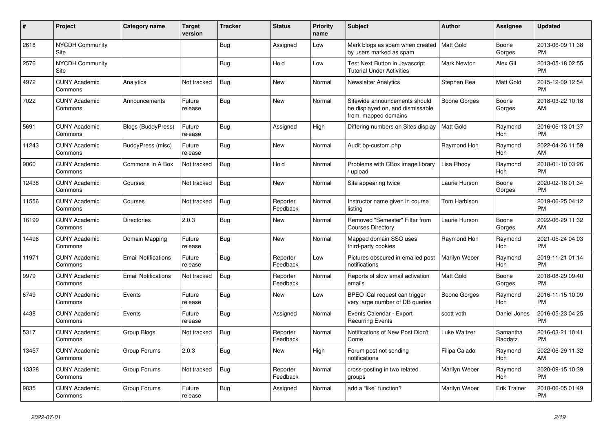| #     | Project                         | <b>Category name</b>       | <b>Target</b><br>version | <b>Tracker</b> | <b>Status</b>        | <b>Priority</b><br>name | <b>Subject</b>                                                                            | <b>Author</b>       | <b>Assignee</b>       | <b>Updated</b>                |
|-------|---------------------------------|----------------------------|--------------------------|----------------|----------------------|-------------------------|-------------------------------------------------------------------------------------------|---------------------|-----------------------|-------------------------------|
| 2618  | <b>NYCDH Community</b><br>Site  |                            |                          | Bug            | Assigned             | Low                     | Mark blogs as spam when created<br>by users marked as spam                                | Matt Gold           | Boone<br>Gorges       | 2013-06-09 11:38<br><b>PM</b> |
| 2576  | <b>NYCDH Community</b><br>Site  |                            |                          | Bug            | Hold                 | Low                     | Test Next Button in Javascript<br><b>Tutorial Under Activities</b>                        | Mark Newton         | Alex Gil              | 2013-05-18 02:55<br><b>PM</b> |
| 4972  | <b>CUNY Academic</b><br>Commons | Analytics                  | Not tracked              | Bug            | <b>New</b>           | Normal                  | <b>Newsletter Analytics</b>                                                               | Stephen Real        | <b>Matt Gold</b>      | 2015-12-09 12:54<br><b>PM</b> |
| 7022  | <b>CUNY Academic</b><br>Commons | Announcements              | Future<br>release        | Bug            | <b>New</b>           | Normal                  | Sitewide announcements should<br>be displayed on, and dismissable<br>from, mapped domains | <b>Boone Gorges</b> | Boone<br>Gorges       | 2018-03-22 10:18<br>AM        |
| 5691  | <b>CUNY Academic</b><br>Commons | <b>Blogs (BuddyPress)</b>  | Future<br>release        | Bug            | Assigned             | High                    | Differing numbers on Sites display                                                        | <b>Matt Gold</b>    | Raymond<br>Hoh        | 2016-06-13 01:37<br><b>PM</b> |
| 11243 | <b>CUNY Academic</b><br>Commons | BuddyPress (misc)          | Future<br>release        | Bug            | <b>New</b>           | Normal                  | Audit bp-custom.php                                                                       | Ravmond Hoh         | Raymond<br>Hoh        | 2022-04-26 11:59<br>AM        |
| 9060  | <b>CUNY Academic</b><br>Commons | Commons In A Box           | Not tracked              | <b>Bug</b>     | Hold                 | Normal                  | Problems with CBox image library<br>/ upload                                              | Lisa Rhody          | Raymond<br>Hoh        | 2018-01-10 03:26<br><b>PM</b> |
| 12438 | <b>CUNY Academic</b><br>Commons | Courses                    | Not tracked              | Bug            | <b>New</b>           | Normal                  | Site appearing twice                                                                      | Laurie Hurson       | Boone<br>Gorges       | 2020-02-18 01:34<br><b>PM</b> |
| 11556 | <b>CUNY Academic</b><br>Commons | Courses                    | Not tracked              | Bug            | Reporter<br>Feedback | Normal                  | Instructor name given in course<br>listing                                                | Tom Harbison        |                       | 2019-06-25 04:12<br><b>PM</b> |
| 16199 | <b>CUNY Academic</b><br>Commons | <b>Directories</b>         | 2.0.3                    | <b>Bug</b>     | <b>New</b>           | Normal                  | Removed "Semester" Filter from<br><b>Courses Directory</b>                                | Laurie Hurson       | Boone<br>Gorges       | 2022-06-29 11:32<br>AM        |
| 14496 | <b>CUNY Academic</b><br>Commons | Domain Mapping             | Future<br>release        | Bug            | <b>New</b>           | Normal                  | Mapped domain SSO uses<br>third-party cookies                                             | Raymond Hoh         | Raymond<br><b>Hoh</b> | 2021-05-24 04:03<br><b>PM</b> |
| 11971 | <b>CUNY Academic</b><br>Commons | <b>Email Notifications</b> | Future<br>release        | Bug            | Reporter<br>Feedback | Low                     | Pictures obscured in emailed post<br>notifications                                        | Marilyn Weber       | Raymond<br>Hoh        | 2019-11-21 01:14<br><b>PM</b> |
| 9979  | <b>CUNY Academic</b><br>Commons | <b>Email Notifications</b> | Not tracked              | <b>Bug</b>     | Reporter<br>Feedback | Normal                  | Reports of slow email activation<br>emails                                                | Matt Gold           | Boone<br>Gorges       | 2018-08-29 09:40<br><b>PM</b> |
| 6749  | <b>CUNY Academic</b><br>Commons | Events                     | Future<br>release        | Bug            | <b>New</b>           | Low                     | BPEO iCal request can trigger<br>very large number of DB queries                          | <b>Boone Gorges</b> | Raymond<br>Hoh        | 2016-11-15 10:09<br><b>PM</b> |
| 4438  | <b>CUNY Academic</b><br>Commons | Events                     | Future<br>release        | Bug            | Assigned             | Normal                  | Events Calendar - Export<br><b>Recurring Events</b>                                       | scott voth          | Daniel Jones          | 2016-05-23 04:25<br><b>PM</b> |
| 5317  | <b>CUNY Academic</b><br>Commons | Group Blogs                | Not tracked              | Bug            | Reporter<br>Feedback | Normal                  | Notifications of New Post Didn't<br>Come                                                  | Luke Waltzer        | Samantha<br>Raddatz   | 2016-03-21 10:41<br><b>PM</b> |
| 13457 | <b>CUNY Academic</b><br>Commons | Group Forums               | 2.0.3                    | Bug            | <b>New</b>           | High                    | Forum post not sending<br>notifications                                                   | Filipa Calado       | Raymond<br>Hoh        | 2022-06-29 11:32<br>AM        |
| 13328 | <b>CUNY Academic</b><br>Commons | Group Forums               | Not tracked              | Bug            | Reporter<br>Feedback | Normal                  | cross-posting in two related<br>groups                                                    | Marilyn Weber       | Raymond<br>Hoh        | 2020-09-15 10:39<br><b>PM</b> |
| 9835  | <b>CUNY Academic</b><br>Commons | Group Forums               | Future<br>release        | <b>Bug</b>     | Assigned             | Normal                  | add a "like" function?                                                                    | Marilyn Weber       | <b>Erik Trainer</b>   | 2018-06-05 01:49<br><b>PM</b> |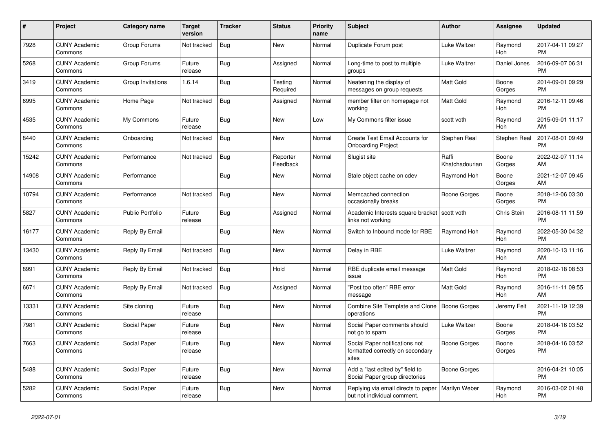| $\#$  | Project                         | <b>Category name</b>    | <b>Target</b><br>version | <b>Tracker</b> | <b>Status</b>        | <b>Priority</b><br>name | <b>Subject</b>                                                              | <b>Author</b>           | <b>Assignee</b> | <b>Updated</b>                |
|-------|---------------------------------|-------------------------|--------------------------|----------------|----------------------|-------------------------|-----------------------------------------------------------------------------|-------------------------|-----------------|-------------------------------|
| 7928  | <b>CUNY Academic</b><br>Commons | Group Forums            | Not tracked              | <b>Bug</b>     | New                  | Normal                  | Duplicate Forum post                                                        | Luke Waltzer            | Raymond<br>Hoh  | 2017-04-11 09:27<br><b>PM</b> |
| 5268  | <b>CUNY Academic</b><br>Commons | Group Forums            | Future<br>release        | Bug            | Assigned             | Normal                  | Long-time to post to multiple<br>groups                                     | Luke Waltzer            | Daniel Jones    | 2016-09-07 06:31<br><b>PM</b> |
| 3419  | <b>CUNY Academic</b><br>Commons | Group Invitations       | 1.6.14                   | Bug            | Testing<br>Required  | Normal                  | Neatening the display of<br>messages on group requests                      | Matt Gold               | Boone<br>Gorges | 2014-09-01 09:29<br><b>PM</b> |
| 6995  | <b>CUNY Academic</b><br>Commons | Home Page               | Not tracked              | Bug            | Assigned             | Normal                  | member filter on homepage not<br>workina                                    | Matt Gold               | Raymond<br>Hoh  | 2016-12-11 09:46<br><b>PM</b> |
| 4535  | <b>CUNY Academic</b><br>Commons | My Commons              | Future<br>release        | Bug            | New                  | Low                     | My Commons filter issue                                                     | scott voth              | Raymond<br>Hoh  | 2015-09-01 11:17<br>AM        |
| 8440  | <b>CUNY Academic</b><br>Commons | Onboarding              | Not tracked              | <b>Bug</b>     | New                  | Normal                  | Create Test Email Accounts for<br><b>Onboarding Project</b>                 | Stephen Real            | Stephen Real    | 2017-08-01 09:49<br><b>PM</b> |
| 15242 | <b>CUNY Academic</b><br>Commons | Performance             | Not tracked              | <b>Bug</b>     | Reporter<br>Feedback | Normal                  | Slugist site                                                                | Raffi<br>Khatchadourian | Boone<br>Gorges | 2022-02-07 11:14<br>AM        |
| 14908 | <b>CUNY Academic</b><br>Commons | Performance             |                          | <b>Bug</b>     | <b>New</b>           | Normal                  | Stale object cache on cdev                                                  | Raymond Hoh             | Boone<br>Gorges | 2021-12-07 09:45<br>AM        |
| 10794 | <b>CUNY Academic</b><br>Commons | Performance             | Not tracked              | Bug            | New                  | Normal                  | Memcached connection<br>occasionally breaks                                 | Boone Gorges            | Boone<br>Gorges | 2018-12-06 03:30<br><b>PM</b> |
| 5827  | <b>CUNY Academic</b><br>Commons | <b>Public Portfolio</b> | Future<br>release        | Bug            | Assigned             | Normal                  | Academic Interests square bracket<br>links not working                      | scott voth              | Chris Stein     | 2016-08-11 11:59<br><b>PM</b> |
| 16177 | <b>CUNY Academic</b><br>Commons | Reply By Email          |                          | Bug            | <b>New</b>           | Normal                  | Switch to Inbound mode for RBE                                              | Raymond Hoh             | Raymond<br>Hoh  | 2022-05-30 04:32<br><b>PM</b> |
| 13430 | <b>CUNY Academic</b><br>Commons | Reply By Email          | Not tracked              | Bug            | New                  | Normal                  | Delay in RBE                                                                | Luke Waltzer            | Raymond<br>Hoh  | 2020-10-13 11:16<br>AM        |
| 8991  | <b>CUNY Academic</b><br>Commons | Reply By Email          | Not tracked              | Bug            | Hold                 | Normal                  | RBE duplicate email message<br>issue                                        | Matt Gold               | Raymond<br>Hoh  | 2018-02-18 08:53<br><b>PM</b> |
| 6671  | <b>CUNY Academic</b><br>Commons | Reply By Email          | Not tracked              | Bug            | Assigned             | Normal                  | "Post too often" RBE error<br>message                                       | Matt Gold               | Raymond<br>Hoh  | 2016-11-11 09:55<br>AM        |
| 13331 | <b>CUNY Academic</b><br>Commons | Site cloning            | Future<br>release        | Bug            | <b>New</b>           | Normal                  | Combine Site Template and Clone<br>operations                               | Boone Gorges            | Jeremy Felt     | 2021-11-19 12:39<br><b>PM</b> |
| 7981  | <b>CUNY Academic</b><br>Commons | Social Paper            | Future<br>release        | Bug            | New                  | Normal                  | Social Paper comments should<br>not go to spam                              | Luke Waltzer            | Boone<br>Gorges | 2018-04-16 03:52<br><b>PM</b> |
| 7663  | <b>CUNY Academic</b><br>Commons | Social Paper            | Future<br>release        | <b>Bug</b>     | New                  | Normal                  | Social Paper notifications not<br>formatted correctly on secondary<br>sites | <b>Boone Gorges</b>     | Boone<br>Gorges | 2018-04-16 03:52<br><b>PM</b> |
| 5488  | <b>CUNY Academic</b><br>Commons | Social Paper            | Future<br>release        | <b>Bug</b>     | New                  | Normal                  | Add a "last edited by" field to<br>Social Paper group directories           | Boone Gorges            |                 | 2016-04-21 10:05<br><b>PM</b> |
| 5282  | <b>CUNY Academic</b><br>Commons | Social Paper            | Future<br>release        | <b>Bug</b>     | <b>New</b>           | Normal                  | Replying via email directs to paper<br>but not individual comment.          | Marilyn Weber           | Raymond<br>Hoh  | 2016-03-02 01:48<br><b>PM</b> |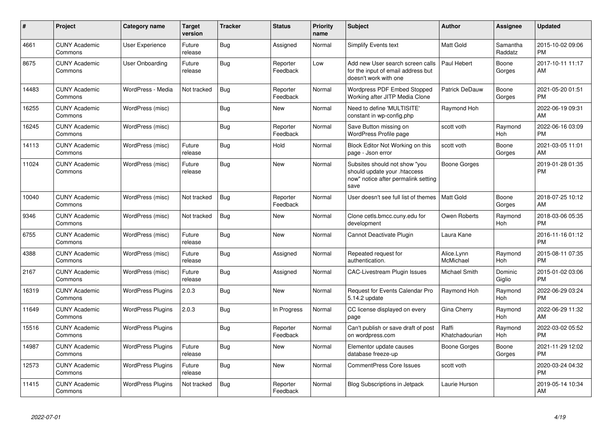| $\#$  | Project                         | Category name            | <b>Target</b><br>version | <b>Tracker</b> | <b>Status</b>        | <b>Priority</b><br>name | <b>Subject</b>                                                                                               | Author                  | Assignee              | <b>Updated</b>                |
|-------|---------------------------------|--------------------------|--------------------------|----------------|----------------------|-------------------------|--------------------------------------------------------------------------------------------------------------|-------------------------|-----------------------|-------------------------------|
| 4661  | <b>CUNY Academic</b><br>Commons | User Experience          | Future<br>release        | Bug            | Assigned             | Normal                  | <b>Simplify Events text</b>                                                                                  | <b>Matt Gold</b>        | Samantha<br>Raddatz   | 2015-10-02 09:06<br><b>PM</b> |
| 8675  | <b>CUNY Academic</b><br>Commons | User Onboarding          | Future<br>release        | Bug            | Reporter<br>Feedback | Low                     | Add new User search screen calls<br>for the input of email address but<br>doesn't work with one              | Paul Hebert             | Boone<br>Gorges       | 2017-10-11 11:17<br>AM        |
| 14483 | <b>CUNY Academic</b><br>Commons | WordPress - Media        | Not tracked              | <b>Bug</b>     | Reporter<br>Feedback | Normal                  | Wordpress PDF Embed Stopped<br>Working after JITP Media Clone                                                | Patrick DeDauw          | Boone<br>Gorges       | 2021-05-20 01:51<br><b>PM</b> |
| 16255 | <b>CUNY Academic</b><br>Commons | WordPress (misc)         |                          | Bug            | <b>New</b>           | Normal                  | Need to define 'MULTISITE'<br>constant in wp-config.php                                                      | Raymond Hoh             |                       | 2022-06-19 09:31<br>AM        |
| 16245 | <b>CUNY Academic</b><br>Commons | WordPress (misc)         |                          | Bug            | Reporter<br>Feedback | Normal                  | Save Button missing on<br>WordPress Profile page                                                             | scott voth              | Raymond<br>Hoh        | 2022-06-16 03:09<br><b>PM</b> |
| 14113 | <b>CUNY Academic</b><br>Commons | WordPress (misc)         | Future<br>release        | Bug            | Hold                 | Normal                  | Block Editor Not Working on this<br>page - Json error                                                        | scott voth              | Boone<br>Gorges       | 2021-03-05 11:01<br>AM        |
| 11024 | <b>CUNY Academic</b><br>Commons | WordPress (misc)         | Future<br>release        | Bug            | <b>New</b>           | Normal                  | Subsites should not show "you<br>should update your .htaccess<br>now" notice after permalink setting<br>save | <b>Boone Gorges</b>     |                       | 2019-01-28 01:35<br><b>PM</b> |
| 10040 | <b>CUNY Academic</b><br>Commons | WordPress (misc)         | Not tracked              | Bug            | Reporter<br>Feedback | Normal                  | User doesn't see full list of themes                                                                         | <b>Matt Gold</b>        | Boone<br>Gorges       | 2018-07-25 10:12<br>AM        |
| 9346  | <b>CUNY Academic</b><br>Commons | WordPress (misc)         | Not tracked              | <b>Bug</b>     | <b>New</b>           | Normal                  | Clone cetls.bmcc.cuny.edu for<br>development                                                                 | Owen Roberts            | Raymond<br>Hoh        | 2018-03-06 05:35<br><b>PM</b> |
| 6755  | <b>CUNY Academic</b><br>Commons | WordPress (misc)         | Future<br>release        | Bug            | <b>New</b>           | Normal                  | Cannot Deactivate Plugin                                                                                     | Laura Kane              |                       | 2016-11-16 01:12<br><b>PM</b> |
| 4388  | <b>CUNY Academic</b><br>Commons | WordPress (misc)         | Future<br>release        | Bug            | Assigned             | Normal                  | Repeated request for<br>authentication.                                                                      | Alice.Lynn<br>McMichael | Raymond<br>Hoh        | 2015-08-11 07:35<br><b>PM</b> |
| 2167  | <b>CUNY Academic</b><br>Commons | WordPress (misc)         | Future<br>release        | <b>Bug</b>     | Assigned             | Normal                  | CAC-Livestream Plugin Issues                                                                                 | Michael Smith           | Dominic<br>Giglio     | 2015-01-02 03:06<br><b>PM</b> |
| 16319 | <b>CUNY Academic</b><br>Commons | <b>WordPress Plugins</b> | 2.0.3                    | Bug            | New                  | Normal                  | Request for Events Calendar Pro<br>5.14.2 update                                                             | Raymond Hoh             | Raymond<br>Hoh        | 2022-06-29 03:24<br><b>PM</b> |
| 11649 | <b>CUNY Academic</b><br>Commons | <b>WordPress Plugins</b> | 2.0.3                    | Bug            | In Progress          | Normal                  | CC license displayed on every<br>page                                                                        | Gina Cherry             | Raymond<br><b>Hoh</b> | 2022-06-29 11:32<br>AM        |
| 15516 | <b>CUNY Academic</b><br>Commons | <b>WordPress Plugins</b> |                          | Bug            | Reporter<br>Feedback | Normal                  | Can't publish or save draft of post<br>on wordpress.com                                                      | Raffi<br>Khatchadourian | Raymond<br>Hoh        | 2022-03-02 05:52<br><b>PM</b> |
| 14987 | <b>CUNY Academic</b><br>Commons | <b>WordPress Plugins</b> | Future<br>release        | <b>Bug</b>     | <b>New</b>           | Normal                  | Elementor update causes<br>database freeze-up                                                                | <b>Boone Gorges</b>     | Boone<br>Gorges       | 2021-11-29 12:02<br><b>PM</b> |
| 12573 | <b>CUNY Academic</b><br>Commons | <b>WordPress Plugins</b> | Future<br>release        | Bug            | <b>New</b>           | Normal                  | <b>CommentPress Core Issues</b>                                                                              | scott voth              |                       | 2020-03-24 04:32<br><b>PM</b> |
| 11415 | <b>CUNY Academic</b><br>Commons | <b>WordPress Plugins</b> | Not tracked              | <b>Bug</b>     | Reporter<br>Feedback | Normal                  | <b>Blog Subscriptions in Jetpack</b>                                                                         | Laurie Hurson           |                       | 2019-05-14 10:34<br>AM        |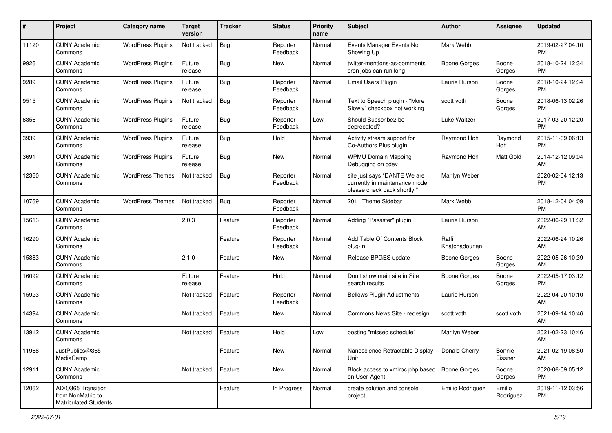| #     | Project                                                                 | <b>Category name</b>     | <b>Target</b><br>version | <b>Tracker</b> | <b>Status</b>        | Priority<br>name | <b>Subject</b>                                                                                | Author                  | <b>Assignee</b>     | <b>Updated</b>                |
|-------|-------------------------------------------------------------------------|--------------------------|--------------------------|----------------|----------------------|------------------|-----------------------------------------------------------------------------------------------|-------------------------|---------------------|-------------------------------|
| 11120 | <b>CUNY Academic</b><br>Commons                                         | <b>WordPress Plugins</b> | Not tracked              | <b>Bug</b>     | Reporter<br>Feedback | Normal           | Events Manager Events Not<br>Showing Up                                                       | Mark Webb               |                     | 2019-02-27 04:10<br>PM.       |
| 9926  | <b>CUNY Academic</b><br>Commons                                         | <b>WordPress Plugins</b> | Future<br>release        | <b>Bug</b>     | New                  | Normal           | twitter-mentions-as-comments<br>cron jobs can run long                                        | <b>Boone Gorges</b>     | Boone<br>Gorges     | 2018-10-24 12:34<br><b>PM</b> |
| 9289  | <b>CUNY Academic</b><br>Commons                                         | <b>WordPress Plugins</b> | Future<br>release        | <b>Bug</b>     | Reporter<br>Feedback | Normal           | Email Users Plugin                                                                            | Laurie Hurson           | Boone<br>Gorges     | 2018-10-24 12:34<br><b>PM</b> |
| 9515  | <b>CUNY Academic</b><br>Commons                                         | <b>WordPress Plugins</b> | Not tracked              | Bug            | Reporter<br>Feedback | Normal           | Text to Speech plugin - "More<br>Slowly" checkbox not working                                 | scott voth              | Boone<br>Gorges     | 2018-06-13 02:26<br><b>PM</b> |
| 6356  | <b>CUNY Academic</b><br>Commons                                         | <b>WordPress Plugins</b> | Future<br>release        | Bug            | Reporter<br>Feedback | Low              | Should Subscribe2 be<br>deprecated?                                                           | Luke Waltzer            |                     | 2017-03-20 12:20<br><b>PM</b> |
| 3939  | <b>CUNY Academic</b><br>Commons                                         | <b>WordPress Plugins</b> | Future<br>release        | Bug            | Hold                 | Normal           | Activity stream support for<br>Co-Authors Plus plugin                                         | Raymond Hoh             | Raymond<br>Hoh      | 2015-11-09 06:13<br><b>PM</b> |
| 3691  | <b>CUNY Academic</b><br>Commons                                         | <b>WordPress Plugins</b> | Future<br>release        | Bug            | <b>New</b>           | Normal           | <b>WPMU Domain Mapping</b><br>Debugging on cdev                                               | Raymond Hoh             | Matt Gold           | 2014-12-12 09:04<br>AM        |
| 12360 | <b>CUNY Academic</b><br>Commons                                         | <b>WordPress Themes</b>  | Not tracked              | <b>Bug</b>     | Reporter<br>Feedback | Normal           | site just says "DANTE We are<br>currently in maintenance mode,<br>please check back shortly." | Marilyn Weber           |                     | 2020-02-04 12:13<br><b>PM</b> |
| 10769 | <b>CUNY Academic</b><br>Commons                                         | <b>WordPress Themes</b>  | Not tracked              | Bug            | Reporter<br>Feedback | Normal           | 2011 Theme Sidebar                                                                            | Mark Webb               |                     | 2018-12-04 04:09<br><b>PM</b> |
| 15613 | <b>CUNY Academic</b><br>Commons                                         |                          | 2.0.3                    | Feature        | Reporter<br>Feedback | Normal           | Adding "Passster" plugin                                                                      | Laurie Hurson           |                     | 2022-06-29 11:32<br>AM        |
| 16290 | <b>CUNY Academic</b><br>Commons                                         |                          |                          | Feature        | Reporter<br>Feedback | Normal           | Add Table Of Contents Block<br>plug-in                                                        | Raffi<br>Khatchadourian |                     | 2022-06-24 10:26<br>AM        |
| 15883 | <b>CUNY Academic</b><br>Commons                                         |                          | 2.1.0                    | Feature        | New                  | Normal           | Release BPGES update                                                                          | Boone Gorges            | Boone<br>Gorges     | 2022-05-26 10:39<br>AM        |
| 16092 | <b>CUNY Academic</b><br>Commons                                         |                          | Future<br>release        | Feature        | Hold                 | Normal           | Don't show main site in Site<br>search results                                                | Boone Gorges            | Boone<br>Gorges     | 2022-05-17 03:12<br><b>PM</b> |
| 15923 | <b>CUNY Academic</b><br>Commons                                         |                          | Not tracked              | Feature        | Reporter<br>Feedback | Normal           | <b>Bellows Plugin Adjustments</b>                                                             | Laurie Hurson           |                     | 2022-04-20 10:10<br>AM        |
| 14394 | <b>CUNY Academic</b><br>Commons                                         |                          | Not tracked              | Feature        | New                  | Normal           | Commons News Site - redesign                                                                  | scott voth              | scott voth          | 2021-09-14 10:46<br>AM        |
| 13912 | <b>CUNY Academic</b><br>Commons                                         |                          | Not tracked              | Feature        | Hold                 | Low              | posting "missed schedule"                                                                     | Marilyn Weber           |                     | 2021-02-23 10:46<br>AM        |
| 11968 | JustPublics@365<br>MediaCamp                                            |                          |                          | Feature        | New                  | Normal           | Nanoscience Retractable Display<br>Unit                                                       | Donald Cherry           | Bonnie<br>Eissner   | 2021-02-19 08:50<br>AM        |
| 12911 | <b>CUNY Academic</b><br>Commons                                         |                          | Not tracked              | Feature        | New                  | Normal           | Block access to xmlrpc.php based<br>on User-Agent                                             | Boone Gorges            | Boone<br>Gorges     | 2020-06-09 05:12<br><b>PM</b> |
| 12062 | AD/O365 Transition<br>from NonMatric to<br><b>Matriculated Students</b> |                          |                          | Feature        | In Progress          | Normal           | create solution and console<br>project                                                        | Emilio Rodriguez        | Emilio<br>Rodriguez | 2019-11-12 03:56<br><b>PM</b> |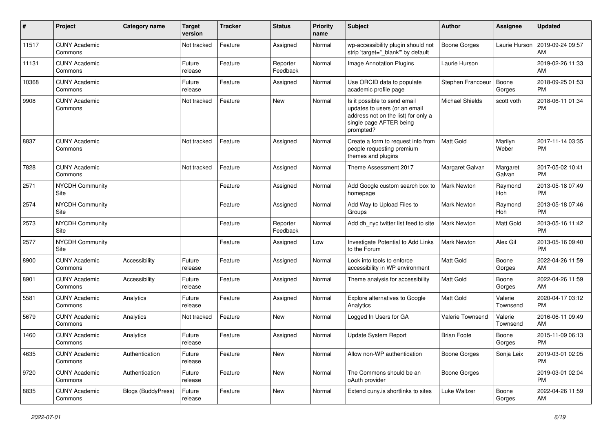| #     | Project                         | Category name             | <b>Target</b><br>version | Tracker | <b>Status</b>        | <b>Priority</b><br>name | <b>Subject</b>                                                                                                                               | Author                 | Assignee            | <b>Updated</b>                |
|-------|---------------------------------|---------------------------|--------------------------|---------|----------------------|-------------------------|----------------------------------------------------------------------------------------------------------------------------------------------|------------------------|---------------------|-------------------------------|
| 11517 | <b>CUNY Academic</b><br>Commons |                           | Not tracked              | Feature | Assigned             | Normal                  | wp-accessibility plugin should not<br>strip 'target=" blank" by default                                                                      | <b>Boone Gorges</b>    | Laurie Hurson       | 2019-09-24 09:57<br>AM        |
| 11131 | <b>CUNY Academic</b><br>Commons |                           | Future<br>release        | Feature | Reporter<br>Feedback | Normal                  | Image Annotation Plugins                                                                                                                     | Laurie Hurson          |                     | 2019-02-26 11:33<br>AM        |
| 10368 | <b>CUNY Academic</b><br>Commons |                           | Future<br>release        | Feature | Assigned             | Normal                  | Use ORCID data to populate<br>academic profile page                                                                                          | Stephen Francoeur      | Boone<br>Gorges     | 2018-09-25 01:53<br><b>PM</b> |
| 9908  | <b>CUNY Academic</b><br>Commons |                           | Not tracked              | Feature | <b>New</b>           | Normal                  | Is it possible to send email<br>updates to users (or an email<br>address not on the list) for only a<br>single page AFTER being<br>prompted? | <b>Michael Shields</b> | scott voth          | 2018-06-11 01:34<br><b>PM</b> |
| 8837  | <b>CUNY Academic</b><br>Commons |                           | Not tracked              | Feature | Assigned             | Normal                  | Create a form to request info from<br>people requesting premium<br>themes and plugins                                                        | Matt Gold              | Marilyn<br>Weber    | 2017-11-14 03:35<br><b>PM</b> |
| 7828  | <b>CUNY Academic</b><br>Commons |                           | Not tracked              | Feature | Assigned             | Normal                  | Theme Assessment 2017                                                                                                                        | Margaret Galvan        | Margaret<br>Galvan  | 2017-05-02 10:41<br><b>PM</b> |
| 2571  | <b>NYCDH Community</b><br>Site  |                           |                          | Feature | Assigned             | Normal                  | Add Google custom search box to<br>homepage                                                                                                  | <b>Mark Newton</b>     | Raymond<br>Hoh      | 2013-05-18 07:49<br><b>PM</b> |
| 2574  | <b>NYCDH Community</b><br>Site  |                           |                          | Feature | Assigned             | Normal                  | Add Way to Upload Files to<br>Groups                                                                                                         | <b>Mark Newton</b>     | Raymond<br>Hoh      | 2013-05-18 07:46<br><b>PM</b> |
| 2573  | <b>NYCDH Community</b><br>Site  |                           |                          | Feature | Reporter<br>Feedback | Normal                  | Add dh_nyc twitter list feed to site                                                                                                         | <b>Mark Newton</b>     | Matt Gold           | 2013-05-16 11:42<br><b>PM</b> |
| 2577  | <b>NYCDH Community</b><br>Site  |                           |                          | Feature | Assigned             | Low                     | Investigate Potential to Add Links<br>to the Forum                                                                                           | <b>Mark Newton</b>     | Alex Gil            | 2013-05-16 09:40<br><b>PM</b> |
| 8900  | <b>CUNY Academic</b><br>Commons | Accessibility             | Future<br>release        | Feature | Assigned             | Normal                  | Look into tools to enforce<br>accessibility in WP environment                                                                                | Matt Gold              | Boone<br>Gorges     | 2022-04-26 11:59<br>AM        |
| 8901  | <b>CUNY Academic</b><br>Commons | Accessibility             | Future<br>release        | Feature | Assigned             | Normal                  | Theme analysis for accessibility                                                                                                             | Matt Gold              | Boone<br>Gorges     | 2022-04-26 11:59<br>AM        |
| 5581  | <b>CUNY Academic</b><br>Commons | Analytics                 | Future<br>release        | Feature | Assigned             | Normal                  | Explore alternatives to Google<br>Analytics                                                                                                  | Matt Gold              | Valerie<br>Townsend | 2020-04-17 03:12<br><b>PM</b> |
| 5679  | <b>CUNY Academic</b><br>Commons | Analytics                 | Not tracked              | Feature | <b>New</b>           | Normal                  | Logged In Users for GA                                                                                                                       | Valerie Townsend       | Valerie<br>Townsend | 2016-06-11 09:49<br>AM        |
| 1460  | <b>CUNY Academic</b><br>Commons | Analytics                 | Future<br>release        | Feature | Assigned             | Normal                  | <b>Update System Report</b>                                                                                                                  | <b>Brian Foote</b>     | Boone<br>Gorges     | 2015-11-09 06:13<br><b>PM</b> |
| 4635  | <b>CUNY Academic</b><br>Commons | Authentication            | Future<br>release        | Feature | New                  | Normal                  | Allow non-WP authentication                                                                                                                  | <b>Boone Gorges</b>    | Sonja Leix          | 2019-03-01 02:05<br><b>PM</b> |
| 9720  | <b>CUNY Academic</b><br>Commons | Authentication            | Future<br>release        | Feature | New                  | Normal                  | The Commons should be an<br>oAuth provider                                                                                                   | <b>Boone Gorges</b>    |                     | 2019-03-01 02:04<br><b>PM</b> |
| 8835  | <b>CUNY Academic</b><br>Commons | <b>Blogs (BuddyPress)</b> | Future<br>release        | Feature | New                  | Normal                  | Extend cuny.is shortlinks to sites                                                                                                           | Luke Waltzer           | Boone<br>Gorges     | 2022-04-26 11:59<br>AM        |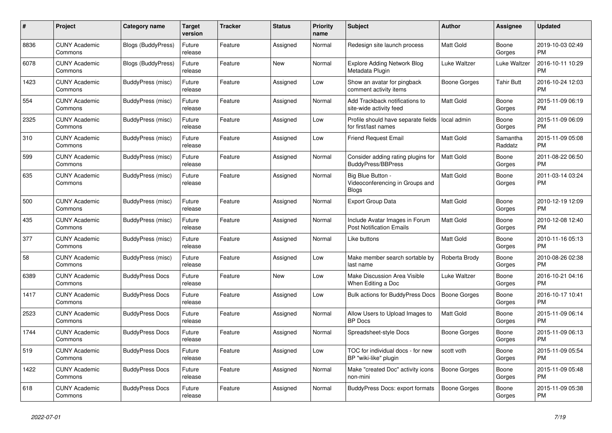| #    | <b>Project</b>                  | <b>Category name</b>     | <b>Target</b><br>version | <b>Tracker</b> | <b>Status</b> | <b>Priority</b><br>name | <b>Subject</b>                                                       | <b>Author</b>       | Assignee            | <b>Updated</b>                |
|------|---------------------------------|--------------------------|--------------------------|----------------|---------------|-------------------------|----------------------------------------------------------------------|---------------------|---------------------|-------------------------------|
| 8836 | <b>CUNY Academic</b><br>Commons | Blogs (BuddyPress)       | Future<br>release        | Feature        | Assigned      | Normal                  | Redesign site launch process                                         | <b>Matt Gold</b>    | Boone<br>Gorges     | 2019-10-03 02:49<br><b>PM</b> |
| 6078 | <b>CUNY Academic</b><br>Commons | Blogs (BuddyPress)       | Future<br>release        | Feature        | New           | Normal                  | <b>Explore Adding Network Blog</b><br>Metadata Plugin                | Luke Waltzer        | Luke Waltzer        | 2016-10-11 10:29<br><b>PM</b> |
| 1423 | <b>CUNY Academic</b><br>Commons | BuddyPress (misc)        | Future<br>release        | Feature        | Assigned      | Low                     | Show an avatar for pingback<br>comment activity items                | Boone Gorges        | <b>Tahir Butt</b>   | 2016-10-24 12:03<br><b>PM</b> |
| 554  | <b>CUNY Academic</b><br>Commons | BuddyPress (misc)        | Future<br>release        | Feature        | Assigned      | Normal                  | Add Trackback notifications to<br>site-wide activity feed            | Matt Gold           | Boone<br>Gorges     | 2015-11-09 06:19<br><b>PM</b> |
| 2325 | <b>CUNY Academic</b><br>Commons | BuddyPress (misc)        | Future<br>release        | Feature        | Assigned      | Low                     | Profile should have separate fields<br>for first/last names          | local admin         | Boone<br>Gorges     | 2015-11-09 06:09<br><b>PM</b> |
| 310  | <b>CUNY Academic</b><br>Commons | BuddyPress (misc)        | Future<br>release        | Feature        | Assigned      | Low                     | <b>Friend Request Email</b>                                          | Matt Gold           | Samantha<br>Raddatz | 2015-11-09 05:08<br><b>PM</b> |
| 599  | <b>CUNY Academic</b><br>Commons | BuddyPress (misc)        | Future<br>release        | Feature        | Assigned      | Normal                  | Consider adding rating plugins for<br><b>BuddyPress/BBPress</b>      | <b>Matt Gold</b>    | Boone<br>Gorges     | 2011-08-22 06:50<br><b>PM</b> |
| 635  | <b>CUNY Academic</b><br>Commons | BuddyPress (misc)        | Future<br>release        | Feature        | Assigned      | Normal                  | Big Blue Button -<br>Videoconferencing in Groups and<br><b>Blogs</b> | <b>Matt Gold</b>    | Boone<br>Gorges     | 2011-03-14 03:24<br><b>PM</b> |
| 500  | <b>CUNY Academic</b><br>Commons | <b>BuddyPress (misc)</b> | Future<br>release        | Feature        | Assigned      | Normal                  | <b>Export Group Data</b>                                             | <b>Matt Gold</b>    | Boone<br>Gorges     | 2010-12-19 12:09<br><b>PM</b> |
| 435  | <b>CUNY Academic</b><br>Commons | BuddyPress (misc)        | Future<br>release        | Feature        | Assigned      | Normal                  | Include Avatar Images in Forum<br><b>Post Notification Emails</b>    | <b>Matt Gold</b>    | Boone<br>Gorges     | 2010-12-08 12:40<br><b>PM</b> |
| 377  | <b>CUNY Academic</b><br>Commons | BuddyPress (misc)        | Future<br>release        | Feature        | Assigned      | Normal                  | Like buttons                                                         | Matt Gold           | Boone<br>Gorges     | 2010-11-16 05:13<br><b>PM</b> |
| 58   | <b>CUNY Academic</b><br>Commons | BuddyPress (misc)        | Future<br>release        | Feature        | Assigned      | Low                     | Make member search sortable by<br>last name                          | Roberta Brody       | Boone<br>Gorges     | 2010-08-26 02:38<br><b>PM</b> |
| 6389 | <b>CUNY Academic</b><br>Commons | <b>BuddyPress Docs</b>   | Future<br>release        | Feature        | <b>New</b>    | Low                     | <b>Make Discussion Area Visible</b><br>When Editing a Doc            | Luke Waltzer        | Boone<br>Gorges     | 2016-10-21 04:16<br><b>PM</b> |
| 1417 | <b>CUNY Academic</b><br>Commons | <b>BuddyPress Docs</b>   | Future<br>release        | Feature        | Assigned      | Low                     | Bulk actions for BuddyPress Docs                                     | Boone Gorges        | Boone<br>Gorges     | 2016-10-17 10:41<br><b>PM</b> |
| 2523 | <b>CUNY Academic</b><br>Commons | <b>BuddyPress Docs</b>   | Future<br>release        | Feature        | Assigned      | Normal                  | Allow Users to Upload Images to<br><b>BP</b> Docs                    | <b>Matt Gold</b>    | Boone<br>Gorges     | 2015-11-09 06:14<br><b>PM</b> |
| 1744 | <b>CUNY Academic</b><br>Commons | <b>BuddyPress Docs</b>   | Future<br>release        | Feature        | Assigned      | Normal                  | Spreadsheet-style Docs                                               | Boone Gorges        | Boone<br>Gorges     | 2015-11-09 06:13<br><b>PM</b> |
| 519  | <b>CUNY Academic</b><br>Commons | <b>BuddyPress Docs</b>   | Future<br>release        | Feature        | Assigned      | Low                     | TOC for individual docs - for new<br>BP "wiki-like" plugin           | scott voth          | Boone<br>Gorges     | 2015-11-09 05:54<br><b>PM</b> |
| 1422 | <b>CUNY Academic</b><br>Commons | <b>BuddyPress Docs</b>   | Future<br>release        | Feature        | Assigned      | Normal                  | Make "created Doc" activity icons<br>non-mini                        | Boone Gorges        | Boone<br>Gorges     | 2015-11-09 05:48<br><b>PM</b> |
| 618  | <b>CUNY Academic</b><br>Commons | <b>BuddyPress Docs</b>   | Future<br>release        | Feature        | Assigned      | Normal                  | BuddyPress Docs: export formats                                      | <b>Boone Gorges</b> | Boone<br>Gorges     | 2015-11-09 05:38<br><b>PM</b> |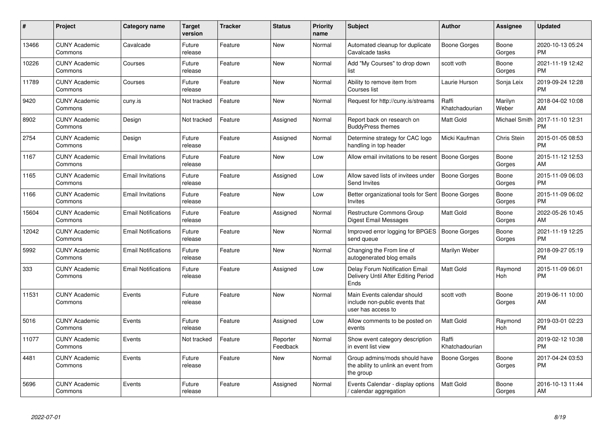| #     | <b>Project</b>                  | Category name              | <b>Target</b><br>version | <b>Tracker</b> | <b>Status</b>        | <b>Priority</b><br>name | <b>Subject</b>                                                                      | <b>Author</b>           | Assignee           | <b>Updated</b>                |
|-------|---------------------------------|----------------------------|--------------------------|----------------|----------------------|-------------------------|-------------------------------------------------------------------------------------|-------------------------|--------------------|-------------------------------|
| 13466 | <b>CUNY Academic</b><br>Commons | Cavalcade                  | Future<br>release        | Feature        | <b>New</b>           | Normal                  | Automated cleanup for duplicate<br>Cavalcade tasks                                  | Boone Gorges            | Boone<br>Gorges    | 2020-10-13 05:24<br><b>PM</b> |
| 10226 | <b>CUNY Academic</b><br>Commons | Courses                    | Future<br>release        | Feature        | <b>New</b>           | Normal                  | Add "My Courses" to drop down<br>list                                               | scott voth              | Boone<br>Gorges    | 2021-11-19 12:42<br><b>PM</b> |
| 11789 | <b>CUNY Academic</b><br>Commons | Courses                    | Future<br>release        | Feature        | <b>New</b>           | Normal                  | Ability to remove item from<br>Courses list                                         | Laurie Hurson           | Sonja Leix         | 2019-09-24 12:28<br><b>PM</b> |
| 9420  | <b>CUNY Academic</b><br>Commons | cuny.is                    | Not tracked              | Feature        | New                  | Normal                  | Request for http://cuny.is/streams                                                  | Raffi<br>Khatchadourian | Marilyn<br>Weber   | 2018-04-02 10:08<br>AM        |
| 8902  | <b>CUNY Academic</b><br>Commons | Design                     | Not tracked              | Feature        | Assigned             | Normal                  | Report back on research on<br><b>BuddyPress themes</b>                              | <b>Matt Gold</b>        | Michael Smith      | 2017-11-10 12:31<br><b>PM</b> |
| 2754  | <b>CUNY Academic</b><br>Commons | Design                     | Future<br>release        | Feature        | Assigned             | Normal                  | Determine strategy for CAC logo<br>handling in top header                           | Micki Kaufman           | <b>Chris Stein</b> | 2015-01-05 08:53<br><b>PM</b> |
| 1167  | <b>CUNY Academic</b><br>Commons | <b>Email Invitations</b>   | Future<br>release        | Feature        | <b>New</b>           | Low                     | Allow email invitations to be resent                                                | Boone Gorges            | Boone<br>Gorges    | 2015-11-12 12:53<br>AM        |
| 1165  | <b>CUNY Academic</b><br>Commons | <b>Email Invitations</b>   | Future<br>release        | Feature        | Assigned             | Low                     | Allow saved lists of invitees under<br><b>Send Invites</b>                          | <b>Boone Gorges</b>     | Boone<br>Gorges    | 2015-11-09 06:03<br><b>PM</b> |
| 1166  | <b>CUNY Academic</b><br>Commons | <b>Email Invitations</b>   | Future<br>release        | Feature        | New                  | Low                     | Better organizational tools for Sent<br>Invites                                     | Boone Gorges            | Boone<br>Gorges    | 2015-11-09 06:02<br><b>PM</b> |
| 15604 | <b>CUNY Academic</b><br>Commons | <b>Email Notifications</b> | Future<br>release        | Feature        | Assigned             | Normal                  | Restructure Commons Group<br>Digest Email Messages                                  | <b>Matt Gold</b>        | Boone<br>Gorges    | 2022-05-26 10:45<br>AM        |
| 12042 | <b>CUNY Academic</b><br>Commons | <b>Email Notifications</b> | Future<br>release        | Feature        | New                  | Normal                  | Improved error logging for BPGES<br>send queue                                      | Boone Gorges            | Boone<br>Gorges    | 2021-11-19 12:25<br><b>PM</b> |
| 5992  | <b>CUNY Academic</b><br>Commons | <b>Email Notifications</b> | Future<br>release        | Feature        | New                  | Normal                  | Changing the From line of<br>autogenerated blog emails                              | Marilyn Weber           |                    | 2018-09-27 05:19<br><b>PM</b> |
| 333   | <b>CUNY Academic</b><br>Commons | <b>Email Notifications</b> | Future<br>release        | Feature        | Assigned             | Low                     | Delay Forum Notification Email<br>Delivery Until After Editing Period<br>Ends       | <b>Matt Gold</b>        | Raymond<br>Hoh     | 2015-11-09 06:01<br><b>PM</b> |
| 11531 | <b>CUNY Academic</b><br>Commons | Events                     | Future<br>release        | Feature        | <b>New</b>           | Normal                  | Main Events calendar should<br>include non-public events that<br>user has access to | scott voth              | Boone<br>Gorges    | 2019-06-11 10:00<br>AM        |
| 5016  | <b>CUNY Academic</b><br>Commons | Events                     | Future<br>release        | Feature        | Assigned             | Low                     | Allow comments to be posted on<br>events                                            | <b>Matt Gold</b>        | Raymond<br>Hoh     | 2019-03-01 02:23<br><b>PM</b> |
| 11077 | <b>CUNY Academic</b><br>Commons | Events                     | Not tracked              | Feature        | Reporter<br>Feedback | Normal                  | Show event category description<br>in event list view                               | Raffi<br>Khatchadourian |                    | 2019-02-12 10:38<br><b>PM</b> |
| 4481  | <b>CUNY Academic</b><br>Commons | Events                     | Future<br>release        | Feature        | <b>New</b>           | Normal                  | Group admins/mods should have<br>the ability to unlink an event from<br>the group   | Boone Gorges            | Boone<br>Gorges    | 2017-04-24 03:53<br><b>PM</b> |
| 5696  | <b>CUNY Academic</b><br>Commons | Events                     | Future<br>release        | Feature        | Assigned             | Normal                  | Events Calendar - display options<br>calendar aggregation                           | <b>Matt Gold</b>        | Boone<br>Gorges    | 2016-10-13 11:44<br>AM        |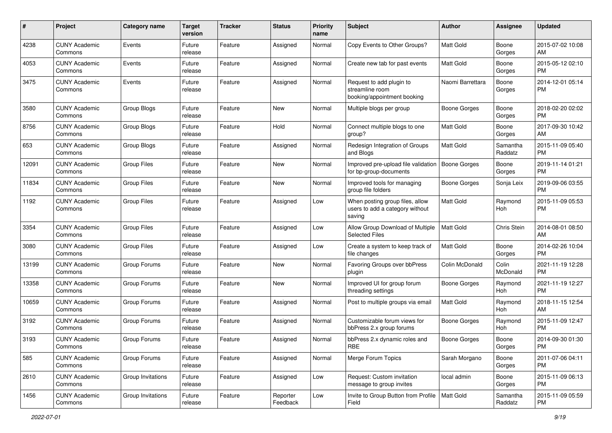| #     | Project                         | <b>Category name</b> | <b>Target</b><br>version | <b>Tracker</b> | <b>Status</b>        | Priority<br>name | <b>Subject</b>                                                               | Author              | <b>Assignee</b>     | <b>Updated</b>                |
|-------|---------------------------------|----------------------|--------------------------|----------------|----------------------|------------------|------------------------------------------------------------------------------|---------------------|---------------------|-------------------------------|
| 4238  | <b>CUNY Academic</b><br>Commons | Events               | Future<br>release        | Feature        | Assigned             | Normal           | Copy Events to Other Groups?                                                 | <b>Matt Gold</b>    | Boone<br>Gorges     | 2015-07-02 10:08<br>AM        |
| 4053  | <b>CUNY Academic</b><br>Commons | Events               | Future<br>release        | Feature        | Assigned             | Normal           | Create new tab for past events                                               | <b>Matt Gold</b>    | Boone<br>Gorges     | 2015-05-12 02:10<br><b>PM</b> |
| 3475  | <b>CUNY Academic</b><br>Commons | Events               | Future<br>release        | Feature        | Assigned             | Normal           | Request to add plugin to<br>streamline room<br>booking/appointment booking   | Naomi Barrettara    | Boone<br>Gorges     | 2014-12-01 05:14<br><b>PM</b> |
| 3580  | <b>CUNY Academic</b><br>Commons | Group Blogs          | Future<br>release        | Feature        | New                  | Normal           | Multiple blogs per group                                                     | Boone Gorges        | Boone<br>Gorges     | 2018-02-20 02:02<br><b>PM</b> |
| 8756  | <b>CUNY Academic</b><br>Commons | Group Blogs          | Future<br>release        | Feature        | Hold                 | Normal           | Connect multiple blogs to one<br>group?                                      | <b>Matt Gold</b>    | Boone<br>Gorges     | 2017-09-30 10:42<br>AM        |
| 653   | <b>CUNY Academic</b><br>Commons | Group Blogs          | Future<br>release        | Feature        | Assigned             | Normal           | Redesign Integration of Groups<br>and Blogs                                  | <b>Matt Gold</b>    | Samantha<br>Raddatz | 2015-11-09 05:40<br><b>PM</b> |
| 12091 | <b>CUNY Academic</b><br>Commons | <b>Group Files</b>   | Future<br>release        | Feature        | New                  | Normal           | Improved pre-upload file validation<br>for bp-group-documents                | Boone Gorges        | Boone<br>Gorges     | 2019-11-14 01:21<br><b>PM</b> |
| 11834 | <b>CUNY Academic</b><br>Commons | <b>Group Files</b>   | Future<br>release        | Feature        | New                  | Normal           | Improved tools for managing<br>group file folders                            | <b>Boone Gorges</b> | Sonja Leix          | 2019-09-06 03:55<br><b>PM</b> |
| 1192  | <b>CUNY Academic</b><br>Commons | <b>Group Files</b>   | Future<br>release        | Feature        | Assigned             | Low              | When posting group files, allow<br>users to add a category without<br>saving | <b>Matt Gold</b>    | Raymond<br>Hoh      | 2015-11-09 05:53<br><b>PM</b> |
| 3354  | <b>CUNY Academic</b><br>Commons | <b>Group Files</b>   | Future<br>release        | Feature        | Assigned             | Low              | Allow Group Download of Multiple<br><b>Selected Files</b>                    | <b>Matt Gold</b>    | Chris Stein         | 2014-08-01 08:50<br>AM        |
| 3080  | <b>CUNY Academic</b><br>Commons | <b>Group Files</b>   | Future<br>release        | Feature        | Assigned             | Low              | Create a system to keep track of<br>file changes                             | <b>Matt Gold</b>    | Boone<br>Gorges     | 2014-02-26 10:04<br><b>PM</b> |
| 13199 | <b>CUNY Academic</b><br>Commons | Group Forums         | Future<br>release        | Feature        | New                  | Normal           | Favoring Groups over bbPress<br>plugin                                       | Colin McDonald      | Colin<br>McDonald   | 2021-11-19 12:28<br><b>PM</b> |
| 13358 | <b>CUNY Academic</b><br>Commons | Group Forums         | Future<br>release        | Feature        | <b>New</b>           | Normal           | Improved UI for group forum<br>threading settings                            | Boone Gorges        | Raymond<br>Hoh      | 2021-11-19 12:27<br><b>PM</b> |
| 10659 | <b>CUNY Academic</b><br>Commons | Group Forums         | Future<br>release        | Feature        | Assigned             | Normal           | Post to multiple groups via email                                            | <b>Matt Gold</b>    | Raymond<br>Hoh      | 2018-11-15 12:54<br>AM        |
| 3192  | <b>CUNY Academic</b><br>Commons | Group Forums         | Future<br>release        | Feature        | Assigned             | Normal           | Customizable forum views for<br>bbPress 2.x group forums                     | Boone Gorges        | Raymond<br>Hoh      | 2015-11-09 12:47<br><b>PM</b> |
| 3193  | <b>CUNY Academic</b><br>Commons | Group Forums         | Future<br>release        | Feature        | Assigned             | Normal           | bbPress 2.x dynamic roles and<br>RBE                                         | <b>Boone Gorges</b> | Boone<br>Gorges     | 2014-09-30 01:30<br>PM        |
| 585   | <b>CUNY Academic</b><br>Commons | Group Forums         | Future<br>release        | Feature        | Assigned             | Normal           | Merge Forum Topics                                                           | Sarah Morgano       | Boone<br>Gorges     | 2011-07-06 04:11<br>PM        |
| 2610  | <b>CUNY Academic</b><br>Commons | Group Invitations    | Future<br>release        | Feature        | Assigned             | Low              | Request: Custom invitation<br>message to group invites                       | local admin         | Boone<br>Gorges     | 2015-11-09 06:13<br><b>PM</b> |
| 1456  | <b>CUNY Academic</b><br>Commons | Group Invitations    | Future<br>release        | Feature        | Reporter<br>Feedback | Low              | Invite to Group Button from Profile<br>Field                                 | Matt Gold           | Samantha<br>Raddatz | 2015-11-09 05:59<br><b>PM</b> |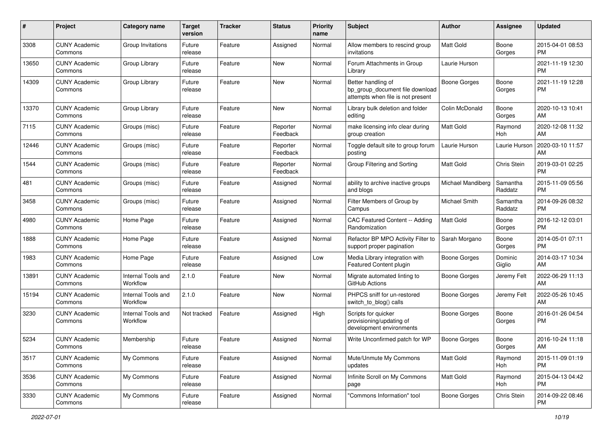| #     | Project                         | <b>Category name</b>           | <b>Target</b><br>version | <b>Tracker</b> | <b>Status</b>        | <b>Priority</b><br>name | Subject                                                                                    | Author                   | Assignee            | <b>Updated</b>                |
|-------|---------------------------------|--------------------------------|--------------------------|----------------|----------------------|-------------------------|--------------------------------------------------------------------------------------------|--------------------------|---------------------|-------------------------------|
| 3308  | <b>CUNY Academic</b><br>Commons | Group Invitations              | Future<br>release        | Feature        | Assigned             | Normal                  | Allow members to rescind group<br>invitations                                              | Matt Gold                | Boone<br>Gorges     | 2015-04-01 08:53<br>PM.       |
| 13650 | <b>CUNY Academic</b><br>Commons | Group Library                  | Future<br>release        | Feature        | New                  | Normal                  | Forum Attachments in Group<br>Library                                                      | Laurie Hurson            |                     | 2021-11-19 12:30<br><b>PM</b> |
| 14309 | <b>CUNY Academic</b><br>Commons | Group Library                  | Future<br>release        | Feature        | New                  | Normal                  | Better handling of<br>bp_group_document file download<br>attempts when file is not present | <b>Boone Gorges</b>      | Boone<br>Gorges     | 2021-11-19 12:28<br><b>PM</b> |
| 13370 | <b>CUNY Academic</b><br>Commons | Group Library                  | Future<br>release        | Feature        | New                  | Normal                  | Library bulk deletion and folder<br>editing                                                | Colin McDonald           | Boone<br>Gorges     | 2020-10-13 10:41<br>AM        |
| 7115  | <b>CUNY Academic</b><br>Commons | Groups (misc)                  | Future<br>release        | Feature        | Reporter<br>Feedback | Normal                  | make licensing info clear during<br>group creation                                         | Matt Gold                | Raymond<br>Hoh      | 2020-12-08 11:32<br>AM.       |
| 12446 | <b>CUNY Academic</b><br>Commons | Groups (misc)                  | Future<br>release        | Feature        | Reporter<br>Feedback | Normal                  | Toggle default site to group forum<br>posting                                              | Laurie Hurson            | Laurie Hurson       | 2020-03-10 11:57<br>AM        |
| 1544  | <b>CUNY Academic</b><br>Commons | Groups (misc)                  | Future<br>release        | Feature        | Reporter<br>Feedback | Normal                  | Group Filtering and Sorting                                                                | Matt Gold                | Chris Stein         | 2019-03-01 02:25<br><b>PM</b> |
| 481   | <b>CUNY Academic</b><br>Commons | Groups (misc)                  | Future<br>release        | Feature        | Assigned             | Normal                  | ability to archive inactive groups<br>and blogs                                            | <b>Michael Mandiberg</b> | Samantha<br>Raddatz | 2015-11-09 05:56<br><b>PM</b> |
| 3458  | <b>CUNY Academic</b><br>Commons | Groups (misc)                  | Future<br>release        | Feature        | Assigned             | Normal                  | Filter Members of Group by<br>Campus                                                       | <b>Michael Smith</b>     | Samantha<br>Raddatz | 2014-09-26 08:32<br>PM        |
| 4980  | <b>CUNY Academic</b><br>Commons | Home Page                      | Future<br>release        | Feature        | Assigned             | Normal                  | CAC Featured Content -- Adding<br>Randomization                                            | <b>Matt Gold</b>         | Boone<br>Gorges     | 2016-12-12 03:01<br><b>PM</b> |
| 1888  | <b>CUNY Academic</b><br>Commons | Home Page                      | Future<br>release        | Feature        | Assigned             | Normal                  | Refactor BP MPO Activity Filter to<br>support proper pagination                            | Sarah Morgano            | Boone<br>Gorges     | 2014-05-01 07:11<br><b>PM</b> |
| 1983  | <b>CUNY Academic</b><br>Commons | Home Page                      | Future<br>release        | Feature        | Assigned             | Low                     | Media Library integration with<br>Featured Content plugin                                  | <b>Boone Gorges</b>      | Dominic<br>Giglio   | 2014-03-17 10:34<br>AM.       |
| 13891 | <b>CUNY Academic</b><br>Commons | Internal Tools and<br>Workflow | 2.1.0                    | Feature        | New                  | Normal                  | Migrate automated linting to<br>GitHub Actions                                             | Boone Gorges             | Jeremy Felt         | 2022-06-29 11:13<br>AM        |
| 15194 | <b>CUNY Academic</b><br>Commons | Internal Tools and<br>Workflow | 2.1.0                    | Feature        | New                  | Normal                  | PHPCS sniff for un-restored<br>switch_to_blog() calls                                      | Boone Gorges             | Jeremy Felt         | 2022-05-26 10:45<br><b>AM</b> |
| 3230  | <b>CUNY Academic</b><br>Commons | Internal Tools and<br>Workflow | Not tracked              | Feature        | Assigned             | High                    | Scripts for quicker<br>provisioning/updating of<br>development environments                | Boone Gorges             | Boone<br>Gorges     | 2016-01-26 04:54<br><b>PM</b> |
| 5234  | <b>CUNY Academic</b><br>Commons | Membership                     | Future<br>release        | Feature        | Assigned             | Normal                  | Write Unconfirmed patch for WP                                                             | <b>Boone Gorges</b>      | Boone<br>Gorges     | 2016-10-24 11:18<br>AM        |
| 3517  | <b>CUNY Academic</b><br>Commons | My Commons                     | Future<br>release        | Feature        | Assigned             | Normal                  | Mute/Unmute My Commons<br>updates                                                          | <b>Matt Gold</b>         | Raymond<br>Hoh      | 2015-11-09 01:19<br><b>PM</b> |
| 3536  | <b>CUNY Academic</b><br>Commons | My Commons                     | Future<br>release        | Feature        | Assigned             | Normal                  | Infinite Scroll on My Commons<br>page                                                      | <b>Matt Gold</b>         | Raymond<br>Hoh      | 2015-04-13 04:42<br><b>PM</b> |
| 3330  | <b>CUNY Academic</b><br>Commons | My Commons                     | Future<br>release        | Feature        | Assigned             | Normal                  | "Commons Information" tool                                                                 | Boone Gorges             | Chris Stein         | 2014-09-22 08:46<br>PM        |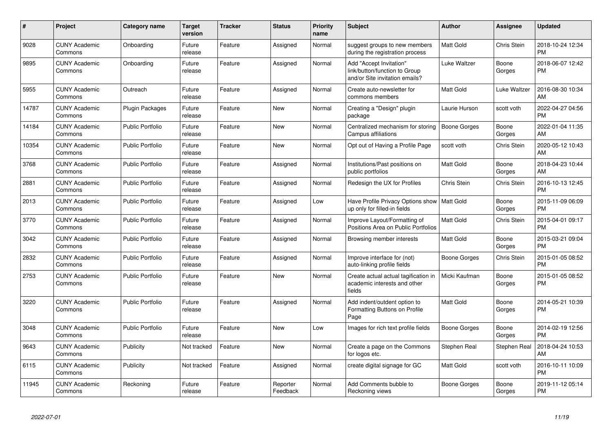| #     | <b>Project</b>                  | Category name           | <b>Target</b><br>version | <b>Tracker</b> | <b>Status</b>        | <b>Priority</b><br>name | <b>Subject</b>                                                                             | <b>Author</b>    | Assignee           | <b>Updated</b>                |
|-------|---------------------------------|-------------------------|--------------------------|----------------|----------------------|-------------------------|--------------------------------------------------------------------------------------------|------------------|--------------------|-------------------------------|
| 9028  | <b>CUNY Academic</b><br>Commons | Onboarding              | Future<br>release        | Feature        | Assigned             | Normal                  | suggest groups to new members<br>during the registration process                           | <b>Matt Gold</b> | <b>Chris Stein</b> | 2018-10-24 12:34<br><b>PM</b> |
| 9895  | <b>CUNY Academic</b><br>Commons | Onboarding              | Future<br>release        | Feature        | Assigned             | Normal                  | Add "Accept Invitation"<br>link/button/function to Group<br>and/or Site invitation emails? | Luke Waltzer     | Boone<br>Gorges    | 2018-06-07 12:42<br><b>PM</b> |
| 5955  | <b>CUNY Academic</b><br>Commons | Outreach                | Future<br>release        | Feature        | Assigned             | Normal                  | Create auto-newsletter for<br>commons members                                              | <b>Matt Gold</b> | Luke Waltzer       | 2016-08-30 10:34<br>AM        |
| 14787 | <b>CUNY Academic</b><br>Commons | <b>Plugin Packages</b>  | Future<br>release        | Feature        | New                  | Normal                  | Creating a "Design" plugin<br>package                                                      | Laurie Hurson    | scott voth         | 2022-04-27 04:56<br><b>PM</b> |
| 14184 | <b>CUNY Academic</b><br>Commons | <b>Public Portfolio</b> | Future<br>release        | Feature        | New                  | Normal                  | Centralized mechanism for storing<br>Campus affiliations                                   | Boone Gorges     | Boone<br>Gorges    | 2022-01-04 11:35<br>AM        |
| 10354 | <b>CUNY Academic</b><br>Commons | <b>Public Portfolio</b> | Future<br>release        | Feature        | New                  | Normal                  | Opt out of Having a Profile Page                                                           | scott voth       | <b>Chris Stein</b> | 2020-05-12 10:43<br>AM        |
| 3768  | <b>CUNY Academic</b><br>Commons | <b>Public Portfolio</b> | Future<br>release        | Feature        | Assigned             | Normal                  | Institutions/Past positions on<br>public portfolios                                        | <b>Matt Gold</b> | Boone<br>Gorges    | 2018-04-23 10:44<br>AM        |
| 2881  | <b>CUNY Academic</b><br>Commons | <b>Public Portfolio</b> | Future<br>release        | Feature        | Assigned             | Normal                  | Redesign the UX for Profiles                                                               | Chris Stein      | <b>Chris Stein</b> | 2016-10-13 12:45<br><b>PM</b> |
| 2013  | <b>CUNY Academic</b><br>Commons | <b>Public Portfolio</b> | Future<br>release        | Feature        | Assigned             | Low                     | Have Profile Privacy Options show   Matt Gold<br>up only for filled-in fields              |                  | Boone<br>Gorges    | 2015-11-09 06:09<br><b>PM</b> |
| 3770  | <b>CUNY Academic</b><br>Commons | Public Portfolio        | Future<br>release        | Feature        | Assigned             | Normal                  | Improve Layout/Formatting of<br>Positions Area on Public Portfolios                        | <b>Matt Gold</b> | Chris Stein        | 2015-04-01 09:17<br><b>PM</b> |
| 3042  | <b>CUNY Academic</b><br>Commons | <b>Public Portfolio</b> | Future<br>release        | Feature        | Assigned             | Normal                  | Browsing member interests                                                                  | <b>Matt Gold</b> | Boone<br>Gorges    | 2015-03-21 09:04<br><b>PM</b> |
| 2832  | <b>CUNY Academic</b><br>Commons | <b>Public Portfolio</b> | Future<br>release        | Feature        | Assigned             | Normal                  | Improve interface for (not)<br>auto-linking profile fields                                 | Boone Gorges     | Chris Stein        | 2015-01-05 08:52<br><b>PM</b> |
| 2753  | <b>CUNY Academic</b><br>Commons | <b>Public Portfolio</b> | Future<br>release        | Feature        | <b>New</b>           | Normal                  | Create actual actual tagification in<br>academic interests and other<br>fields             | Micki Kaufman    | Boone<br>Gorges    | 2015-01-05 08:52<br><b>PM</b> |
| 3220  | <b>CUNY Academic</b><br>Commons | <b>Public Portfolio</b> | Future<br>release        | Feature        | Assigned             | Normal                  | Add indent/outdent option to<br>Formatting Buttons on Profile<br>Page                      | <b>Matt Gold</b> | Boone<br>Gorges    | 2014-05-21 10:39<br><b>PM</b> |
| 3048  | <b>CUNY Academic</b><br>Commons | <b>Public Portfolio</b> | Future<br>release        | Feature        | New                  | Low                     | Images for rich text profile fields                                                        | Boone Gorges     | Boone<br>Gorges    | 2014-02-19 12:56<br><b>PM</b> |
| 9643  | <b>CUNY Academic</b><br>Commons | Publicity               | Not tracked              | Feature        | New                  | Normal                  | Create a page on the Commons<br>for logos etc.                                             | Stephen Real     | Stephen Real       | 2018-04-24 10:53<br>AM        |
| 6115  | <b>CUNY Academic</b><br>Commons | Publicity               | Not tracked              | Feature        | Assigned             | Normal                  | create digital signage for GC                                                              | <b>Matt Gold</b> | scott voth         | 2016-10-11 10:09<br><b>PM</b> |
| 11945 | <b>CUNY Academic</b><br>Commons | Reckoning               | Future<br>release        | Feature        | Reporter<br>Feedback | Normal                  | Add Comments bubble to<br>Reckoning views                                                  | Boone Gorges     | Boone<br>Gorges    | 2019-11-12 05:14<br><b>PM</b> |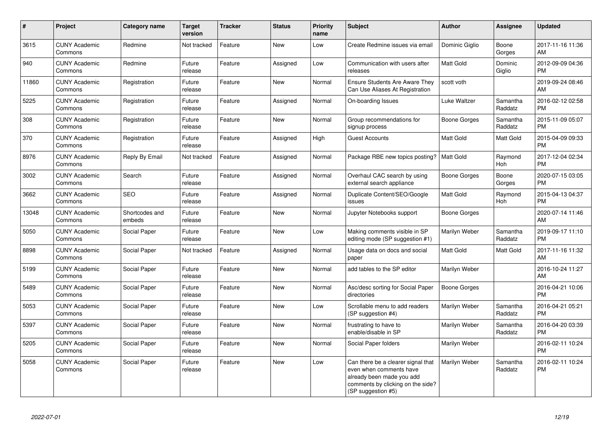| $\pmb{\#}$ | Project                         | <b>Category name</b>     | <b>Target</b><br>version | <b>Tracker</b> | <b>Status</b> | <b>Priority</b><br>name | <b>Subject</b>                                                                                                                                        | <b>Author</b>       | Assignee              | <b>Updated</b>                |
|------------|---------------------------------|--------------------------|--------------------------|----------------|---------------|-------------------------|-------------------------------------------------------------------------------------------------------------------------------------------------------|---------------------|-----------------------|-------------------------------|
| 3615       | <b>CUNY Academic</b><br>Commons | Redmine                  | Not tracked              | Feature        | <b>New</b>    | Low                     | Create Redmine issues via email                                                                                                                       | Dominic Giglio      | Boone<br>Gorges       | 2017-11-16 11:36<br>AM        |
| 940        | <b>CUNY Academic</b><br>Commons | Redmine                  | Future<br>release        | Feature        | Assigned      | Low                     | Communication with users after<br>releases                                                                                                            | Matt Gold           | Dominic<br>Giglio     | 2012-09-09 04:36<br><b>PM</b> |
| 11860      | <b>CUNY Academic</b><br>Commons | Registration             | Future<br>release        | Feature        | New           | Normal                  | <b>Ensure Students Are Aware They</b><br>Can Use Aliases At Registration                                                                              | scott voth          |                       | 2019-09-24 08:46<br>AM        |
| 5225       | <b>CUNY Academic</b><br>Commons | Registration             | Future<br>release        | Feature        | Assigned      | Normal                  | On-boarding Issues                                                                                                                                    | Luke Waltzer        | Samantha<br>Raddatz   | 2016-02-12 02:58<br><b>PM</b> |
| 308        | <b>CUNY Academic</b><br>Commons | Registration             | Future<br>release        | Feature        | <b>New</b>    | Normal                  | Group recommendations for<br>signup process                                                                                                           | <b>Boone Gorges</b> | Samantha<br>Raddatz   | 2015-11-09 05:07<br><b>PM</b> |
| 370        | <b>CUNY Academic</b><br>Commons | Registration             | Future<br>release        | Feature        | Assigned      | High                    | <b>Guest Accounts</b>                                                                                                                                 | Matt Gold           | Matt Gold             | 2015-04-09 09:33<br><b>PM</b> |
| 8976       | <b>CUNY Academic</b><br>Commons | Reply By Email           | Not tracked              | Feature        | Assigned      | Normal                  | Package RBE new topics posting?                                                                                                                       | <b>Matt Gold</b>    | Raymond<br><b>Hoh</b> | 2017-12-04 02:34<br><b>PM</b> |
| 3002       | <b>CUNY Academic</b><br>Commons | Search                   | Future<br>release        | Feature        | Assigned      | Normal                  | Overhaul CAC search by using<br>external search appliance                                                                                             | Boone Gorges        | Boone<br>Gorges       | 2020-07-15 03:05<br><b>PM</b> |
| 3662       | <b>CUNY Academic</b><br>Commons | <b>SEO</b>               | Future<br>release        | Feature        | Assigned      | Normal                  | Duplicate Content/SEO/Google<br>issues                                                                                                                | Matt Gold           | Raymond<br>Hoh        | 2015-04-13 04:37<br><b>PM</b> |
| 13048      | <b>CUNY Academic</b><br>Commons | Shortcodes and<br>embeds | Future<br>release        | Feature        | New           | Normal                  | Jupyter Notebooks support                                                                                                                             | Boone Gorges        |                       | 2020-07-14 11:46<br>AM        |
| 5050       | <b>CUNY Academic</b><br>Commons | Social Paper             | Future<br>release        | Feature        | <b>New</b>    | Low                     | Making comments visible in SP<br>editing mode (SP suggestion #1)                                                                                      | Marilyn Weber       | Samantha<br>Raddatz   | 2019-09-17 11:10<br><b>PM</b> |
| 8898       | <b>CUNY Academic</b><br>Commons | Social Paper             | Not tracked              | Feature        | Assigned      | Normal                  | Usage data on docs and social<br>paper                                                                                                                | Matt Gold           | Matt Gold             | 2017-11-16 11:32<br>AM        |
| 5199       | <b>CUNY Academic</b><br>Commons | Social Paper             | Future<br>release        | Feature        | <b>New</b>    | Normal                  | add tables to the SP editor                                                                                                                           | Marilyn Weber       |                       | 2016-10-24 11:27<br>AM        |
| 5489       | <b>CUNY Academic</b><br>Commons | Social Paper             | Future<br>release        | Feature        | New           | Normal                  | Asc/desc sorting for Social Paper<br>directories                                                                                                      | <b>Boone Gorges</b> |                       | 2016-04-21 10:06<br><b>PM</b> |
| 5053       | <b>CUNY Academic</b><br>Commons | Social Paper             | Future<br>release        | Feature        | New           | Low                     | Scrollable menu to add readers<br>(SP suggestion #4)                                                                                                  | Marilyn Weber       | Samantha<br>Raddatz   | 2016-04-21 05:21<br><b>PM</b> |
| 5397       | <b>CUNY Academic</b><br>Commons | Social Paper             | Future<br>release        | Feature        | New           | Normal                  | frustrating to have to<br>enable/disable in SP                                                                                                        | Marilyn Weber       | Samantha<br>Raddatz   | 2016-04-20 03:39<br><b>PM</b> |
| 5205       | <b>CUNY Academic</b><br>Commons | Social Paper             | Future<br>release        | Feature        | New           | Normal                  | Social Paper folders                                                                                                                                  | Marilyn Weber       |                       | 2016-02-11 10:24<br><b>PM</b> |
| 5058       | <b>CUNY Academic</b><br>Commons | Social Paper             | Future<br>release        | Feature        | <b>New</b>    | Low                     | Can there be a clearer signal that<br>even when comments have<br>already been made you add<br>comments by clicking on the side?<br>(SP suggestion #5) | Marilyn Weber       | Samantha<br>Raddatz   | 2016-02-11 10:24<br><b>PM</b> |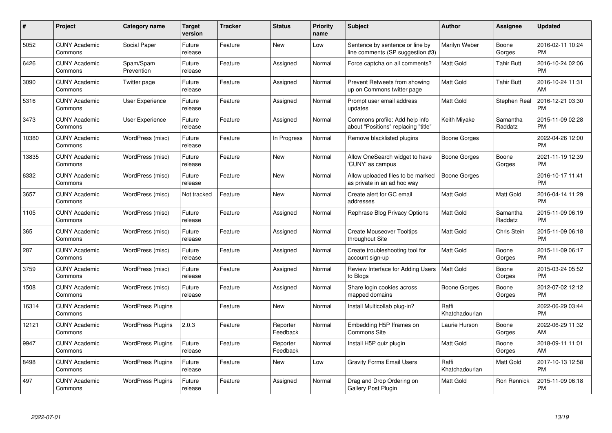| $\#$  | Project                         | Category name            | <b>Target</b><br>version | Tracker | <b>Status</b>        | <b>Priority</b><br>name | <b>Subject</b>                                                        | <b>Author</b>           | Assignee            | <b>Updated</b>                |
|-------|---------------------------------|--------------------------|--------------------------|---------|----------------------|-------------------------|-----------------------------------------------------------------------|-------------------------|---------------------|-------------------------------|
| 5052  | <b>CUNY Academic</b><br>Commons | Social Paper             | Future<br>release        | Feature | <b>New</b>           | Low                     | Sentence by sentence or line by<br>line comments (SP suggestion #3)   | Marilyn Weber           | Boone<br>Gorges     | 2016-02-11 10:24<br><b>PM</b> |
| 6426  | <b>CUNY Academic</b><br>Commons | Spam/Spam<br>Prevention  | Future<br>release        | Feature | Assigned             | Normal                  | Force captcha on all comments?                                        | <b>Matt Gold</b>        | <b>Tahir Butt</b>   | 2016-10-24 02:06<br><b>PM</b> |
| 3090  | <b>CUNY Academic</b><br>Commons | Twitter page             | Future<br>release        | Feature | Assigned             | Normal                  | Prevent Retweets from showing<br>up on Commons twitter page           | <b>Matt Gold</b>        | <b>Tahir Butt</b>   | 2016-10-24 11:31<br>AM        |
| 5316  | <b>CUNY Academic</b><br>Commons | User Experience          | Future<br>release        | Feature | Assigned             | Normal                  | Prompt user email address<br>updates                                  | Matt Gold               | Stephen Real        | 2016-12-21 03:30<br><b>PM</b> |
| 3473  | <b>CUNY Academic</b><br>Commons | User Experience          | Future<br>release        | Feature | Assigned             | Normal                  | Commons profile: Add help info<br>about "Positions" replacing "title" | Keith Miyake            | Samantha<br>Raddatz | 2015-11-09 02:28<br><b>PM</b> |
| 10380 | <b>CUNY Academic</b><br>Commons | WordPress (misc)         | Future<br>release        | Feature | In Progress          | Normal                  | Remove blacklisted plugins                                            | Boone Gorges            |                     | 2022-04-26 12:00<br><b>PM</b> |
| 13835 | <b>CUNY Academic</b><br>Commons | WordPress (misc)         | Future<br>release        | Feature | New                  | Normal                  | Allow OneSearch widget to have<br>'CUNY' as campus                    | <b>Boone Gorges</b>     | Boone<br>Gorges     | 2021-11-19 12:39<br><b>PM</b> |
| 6332  | <b>CUNY Academic</b><br>Commons | WordPress (misc)         | Future<br>release        | Feature | New                  | Normal                  | Allow uploaded files to be marked<br>as private in an ad hoc way      | Boone Gorges            |                     | 2016-10-17 11:41<br><b>PM</b> |
| 3657  | <b>CUNY Academic</b><br>Commons | WordPress (misc)         | Not tracked              | Feature | New                  | Normal                  | Create alert for GC email<br>addresses                                | <b>Matt Gold</b>        | Matt Gold           | 2016-04-14 11:29<br><b>PM</b> |
| 1105  | <b>CUNY Academic</b><br>Commons | WordPress (misc)         | Future<br>release        | Feature | Assigned             | Normal                  | <b>Rephrase Blog Privacy Options</b>                                  | <b>Matt Gold</b>        | Samantha<br>Raddatz | 2015-11-09 06:19<br><b>PM</b> |
| 365   | <b>CUNY Academic</b><br>Commons | WordPress (misc)         | Future<br>release        | Feature | Assigned             | Normal                  | <b>Create Mouseover Tooltips</b><br>throughout Site                   | <b>Matt Gold</b>        | <b>Chris Stein</b>  | 2015-11-09 06:18<br><b>PM</b> |
| 287   | <b>CUNY Academic</b><br>Commons | WordPress (misc)         | Future<br>release        | Feature | Assigned             | Normal                  | Create troubleshooting tool for<br>account sign-up                    | <b>Matt Gold</b>        | Boone<br>Gorges     | 2015-11-09 06:17<br><b>PM</b> |
| 3759  | <b>CUNY Academic</b><br>Commons | WordPress (misc)         | Future<br>release        | Feature | Assigned             | Normal                  | Review Interface for Adding Users<br>to Blogs                         | Matt Gold               | Boone<br>Gorges     | 2015-03-24 05:52<br><b>PM</b> |
| 1508  | <b>CUNY Academic</b><br>Commons | WordPress (misc)         | Future<br>release        | Feature | Assigned             | Normal                  | Share login cookies across<br>mapped domains                          | Boone Gorges            | Boone<br>Gorges     | 2012-07-02 12:12<br><b>PM</b> |
| 16314 | <b>CUNY Academic</b><br>Commons | <b>WordPress Plugins</b> |                          | Feature | New                  | Normal                  | Install Multicollab plug-in?                                          | Raffi<br>Khatchadourian |                     | 2022-06-29 03:44<br><b>PM</b> |
| 12121 | <b>CUNY Academic</b><br>Commons | <b>WordPress Plugins</b> | 2.0.3                    | Feature | Reporter<br>Feedback | Normal                  | Embedding H5P Iframes on<br><b>Commons Site</b>                       | Laurie Hurson           | Boone<br>Gorges     | 2022-06-29 11:32<br>AM        |
| 9947  | <b>CUNY Academic</b><br>Commons | <b>WordPress Plugins</b> | Future<br>release        | Feature | Reporter<br>Feedback | Normal                  | Install H5P quiz plugin                                               | <b>Matt Gold</b>        | Boone<br>Gorges     | 2018-09-11 11:01<br>AM        |
| 8498  | <b>CUNY Academic</b><br>Commons | <b>WordPress Plugins</b> | Future<br>release        | Feature | New                  | Low                     | <b>Gravity Forms Email Users</b>                                      | Raffi<br>Khatchadourian | Matt Gold           | 2017-10-13 12:58<br><b>PM</b> |
| 497   | CUNY Academic<br>Commons        | <b>WordPress Plugins</b> | Future<br>release        | Feature | Assigned             | Normal                  | Drag and Drop Ordering on<br><b>Gallery Post Plugin</b>               | Matt Gold               | Ron Rennick         | 2015-11-09 06:18<br>PM        |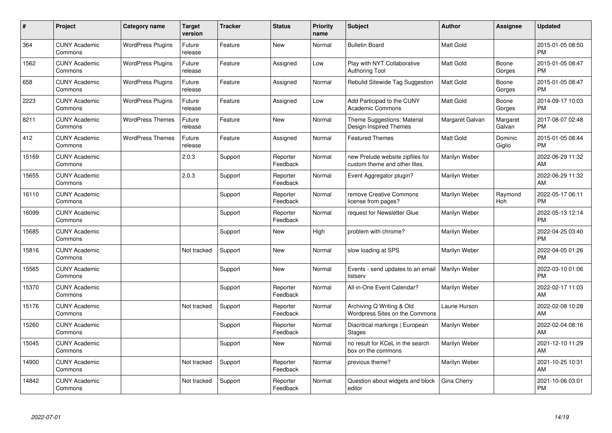| #     | Project                         | <b>Category name</b>     | <b>Target</b><br>version | <b>Tracker</b> | <b>Status</b>        | Priority<br>name | <b>Subject</b>                                                    | <b>Author</b>    | <b>Assignee</b>    | <b>Updated</b>                |
|-------|---------------------------------|--------------------------|--------------------------|----------------|----------------------|------------------|-------------------------------------------------------------------|------------------|--------------------|-------------------------------|
| 364   | <b>CUNY Academic</b><br>Commons | <b>WordPress Plugins</b> | Future<br>release        | Feature        | <b>New</b>           | Normal           | <b>Bulletin Board</b>                                             | <b>Matt Gold</b> |                    | 2015-01-05 08:50<br><b>PM</b> |
| 1562  | <b>CUNY Academic</b><br>Commons | <b>WordPress Plugins</b> | Future<br>release        | Feature        | Assigned             | Low              | Play with NYT Collaborative<br><b>Authoring Tool</b>              | <b>Matt Gold</b> | Boone<br>Gorges    | 2015-01-05 08:47<br><b>PM</b> |
| 658   | <b>CUNY Academic</b><br>Commons | <b>WordPress Plugins</b> | Future<br>release        | Feature        | Assigned             | Normal           | Rebulid Sitewide Tag Suggestion                                   | Matt Gold        | Boone<br>Gorges    | 2015-01-05 08:47<br><b>PM</b> |
| 2223  | <b>CUNY Academic</b><br>Commons | <b>WordPress Plugins</b> | Future<br>release        | Feature        | Assigned             | Low              | Add Participad to the CUNY<br><b>Academic Commons</b>             | Matt Gold        | Boone<br>Gorges    | 2014-09-17 10:03<br><b>PM</b> |
| 8211  | <b>CUNY Academic</b><br>Commons | <b>WordPress Themes</b>  | Future<br>release        | Feature        | <b>New</b>           | Normal           | Theme Suggestions: Material<br>Design-Inspired Themes             | Margaret Galvan  | Margaret<br>Galvan | 2017-08-07 02:48<br><b>PM</b> |
| 412   | <b>CUNY Academic</b><br>Commons | <b>WordPress Themes</b>  | Future<br>release        | Feature        | Assigned             | Normal           | <b>Featured Themes</b>                                            | Matt Gold        | Dominic<br>Giglio  | 2015-01-05 08:44<br><b>PM</b> |
| 15169 | <b>CUNY Academic</b><br>Commons |                          | 2.0.3                    | Support        | Reporter<br>Feedback | Normal           | new Prelude website zipfiles for<br>custom theme and other files. | Marilyn Weber    |                    | 2022-06-29 11:32<br><b>AM</b> |
| 15655 | <b>CUNY Academic</b><br>Commons |                          | 2.0.3                    | Support        | Reporter<br>Feedback | Normal           | Event Aggregator plugin?                                          | Marilyn Weber    |                    | 2022-06-29 11:32<br>AM        |
| 16110 | <b>CUNY Academic</b><br>Commons |                          |                          | Support        | Reporter<br>Feedback | Normal           | remove Creative Commons<br>license from pages?                    | Marilyn Weber    | Raymond<br>Hoh     | 2022-05-17 06:11<br><b>PM</b> |
| 16099 | <b>CUNY Academic</b><br>Commons |                          |                          | Support        | Reporter<br>Feedback | Normal           | request for Newsletter Glue                                       | Marilyn Weber    |                    | 2022-05-13 12:14<br><b>PM</b> |
| 15685 | <b>CUNY Academic</b><br>Commons |                          |                          | Support        | New                  | High             | problem with chrome?                                              | Marilyn Weber    |                    | 2022-04-25 03:40<br><b>PM</b> |
| 15816 | <b>CUNY Academic</b><br>Commons |                          | Not tracked              | Support        | <b>New</b>           | Normal           | slow loading at SPS                                               | Marilyn Weber    |                    | 2022-04-05 01:26<br><b>PM</b> |
| 15565 | <b>CUNY Academic</b><br>Commons |                          |                          | Support        | <b>New</b>           | Normal           | Events - send updates to an email<br>listserv                     | Marilyn Weber    |                    | 2022-03-10 01:06<br><b>PM</b> |
| 15370 | <b>CUNY Academic</b><br>Commons |                          |                          | Support        | Reporter<br>Feedback | Normal           | All-in-One Event Calendar?                                        | Marilyn Weber    |                    | 2022-02-17 11:03<br>AM        |
| 15176 | <b>CUNY Academic</b><br>Commons |                          | Not tracked              | Support        | Reporter<br>Feedback | Normal           | Archiving Q Writing & Old<br>Wordpress Sites on the Commons       | Laurie Hurson    |                    | 2022-02-08 10:28<br>AM        |
| 15260 | <b>CUNY Academic</b><br>Commons |                          |                          | Support        | Reporter<br>Feedback | Normal           | Diacritical markings   European<br><b>Stages</b>                  | Marilyn Weber    |                    | 2022-02-04 08:16<br><b>AM</b> |
| 15045 | <b>CUNY Academic</b><br>Commons |                          |                          | Support        | New                  | Normal           | no result for KCeL in the search<br>box on the commons            | Marilyn Weber    |                    | 2021-12-10 11:29<br>AM        |
| 14900 | <b>CUNY Academic</b><br>Commons |                          | Not tracked              | Support        | Reporter<br>Feedback | Normal           | previous theme?                                                   | Marilyn Weber    |                    | 2021-10-25 10:31<br>AM        |
| 14842 | <b>CUNY Academic</b><br>Commons |                          | Not tracked              | Support        | Reporter<br>Feedback | Normal           | Question about widgets and block<br>editor                        | Gina Cherry      |                    | 2021-10-06 03:01<br>PM        |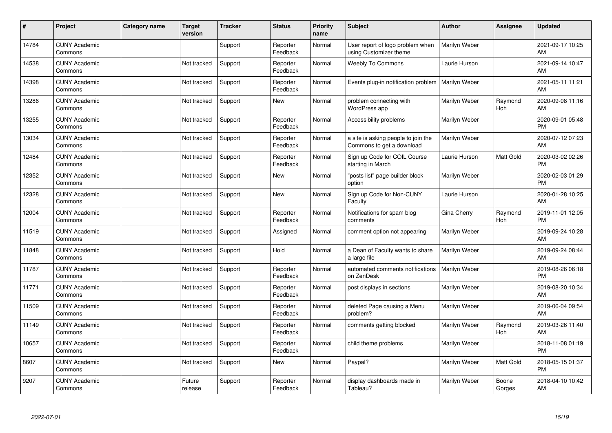| $\#$  | Project                         | <b>Category name</b> | <b>Target</b><br>version | <b>Tracker</b> | <b>Status</b>        | <b>Priority</b><br>name | <b>Subject</b>                                                   | <b>Author</b> | <b>Assignee</b> | <b>Updated</b>                |
|-------|---------------------------------|----------------------|--------------------------|----------------|----------------------|-------------------------|------------------------------------------------------------------|---------------|-----------------|-------------------------------|
| 14784 | <b>CUNY Academic</b><br>Commons |                      |                          | Support        | Reporter<br>Feedback | Normal                  | User report of logo problem when<br>using Customizer theme       | Marilyn Weber |                 | 2021-09-17 10:25<br>AM        |
| 14538 | <b>CUNY Academic</b><br>Commons |                      | Not tracked              | Support        | Reporter<br>Feedback | Normal                  | <b>Weebly To Commons</b>                                         | Laurie Hurson |                 | 2021-09-14 10:47<br>AM        |
| 14398 | <b>CUNY Academic</b><br>Commons |                      | Not tracked              | Support        | Reporter<br>Feedback | Normal                  | Events plug-in notification problem                              | Marilyn Weber |                 | 2021-05-11 11:21<br>AM        |
| 13286 | <b>CUNY Academic</b><br>Commons |                      | Not tracked              | Support        | <b>New</b>           | Normal                  | problem connecting with<br>WordPress app                         | Marilyn Weber | Raymond<br>Hoh  | 2020-09-08 11:16<br>AM        |
| 13255 | <b>CUNY Academic</b><br>Commons |                      | Not tracked              | Support        | Reporter<br>Feedback | Normal                  | Accessibility problems                                           | Marilyn Weber |                 | 2020-09-01 05:48<br><b>PM</b> |
| 13034 | <b>CUNY Academic</b><br>Commons |                      | Not tracked              | Support        | Reporter<br>Feedback | Normal                  | a site is asking people to join the<br>Commons to get a download | Marilyn Weber |                 | 2020-07-12 07:23<br>AM        |
| 12484 | <b>CUNY Academic</b><br>Commons |                      | Not tracked              | Support        | Reporter<br>Feedback | Normal                  | Sign up Code for COIL Course<br>starting in March                | Laurie Hurson | Matt Gold       | 2020-03-02 02:26<br><b>PM</b> |
| 12352 | <b>CUNY Academic</b><br>Commons |                      | Not tracked              | Support        | New                  | Normal                  | "posts list" page builder block<br>option                        | Marilyn Weber |                 | 2020-02-03 01:29<br><b>PM</b> |
| 12328 | <b>CUNY Academic</b><br>Commons |                      | Not tracked              | Support        | <b>New</b>           | Normal                  | Sign up Code for Non-CUNY<br>Faculty                             | Laurie Hurson |                 | 2020-01-28 10:25<br>AM        |
| 12004 | <b>CUNY Academic</b><br>Commons |                      | Not tracked              | Support        | Reporter<br>Feedback | Normal                  | Notifications for spam blog<br>comments                          | Gina Cherry   | Raymond<br>Hoh  | 2019-11-01 12:05<br><b>PM</b> |
| 11519 | <b>CUNY Academic</b><br>Commons |                      | Not tracked              | Support        | Assigned             | Normal                  | comment option not appearing                                     | Marilyn Weber |                 | 2019-09-24 10:28<br>AM        |
| 11848 | <b>CUNY Academic</b><br>Commons |                      | Not tracked              | Support        | Hold                 | Normal                  | a Dean of Faculty wants to share<br>a large file                 | Marilyn Weber |                 | 2019-09-24 08:44<br>AM        |
| 11787 | <b>CUNY Academic</b><br>Commons |                      | Not tracked              | Support        | Reporter<br>Feedback | Normal                  | automated comments notifications<br>on ZenDesk                   | Marilyn Weber |                 | 2019-08-26 06:18<br><b>PM</b> |
| 11771 | <b>CUNY Academic</b><br>Commons |                      | Not tracked              | Support        | Reporter<br>Feedback | Normal                  | post displays in sections                                        | Marilyn Weber |                 | 2019-08-20 10:34<br>AM        |
| 11509 | <b>CUNY Academic</b><br>Commons |                      | Not tracked              | Support        | Reporter<br>Feedback | Normal                  | deleted Page causing a Menu<br>problem?                          | Marilyn Weber |                 | 2019-06-04 09:54<br>AM        |
| 11149 | <b>CUNY Academic</b><br>Commons |                      | Not tracked              | Support        | Reporter<br>Feedback | Normal                  | comments getting blocked                                         | Marilyn Weber | Raymond<br>Hoh  | 2019-03-26 11:40<br>AM        |
| 10657 | <b>CUNY Academic</b><br>Commons |                      | Not tracked              | Support        | Reporter<br>Feedback | Normal                  | child theme problems                                             | Marilyn Weber |                 | 2018-11-08 01:19<br><b>PM</b> |
| 8607  | <b>CUNY Academic</b><br>Commons |                      | Not tracked              | Support        | <b>New</b>           | Normal                  | Paypal?                                                          | Marilyn Weber | Matt Gold       | 2018-05-15 01:37<br><b>PM</b> |
| 9207  | <b>CUNY Academic</b><br>Commons |                      | Future<br>release        | Support        | Reporter<br>Feedback | Normal                  | display dashboards made in<br>Tableau?                           | Marilyn Weber | Boone<br>Gorges | 2018-04-10 10:42<br>AM        |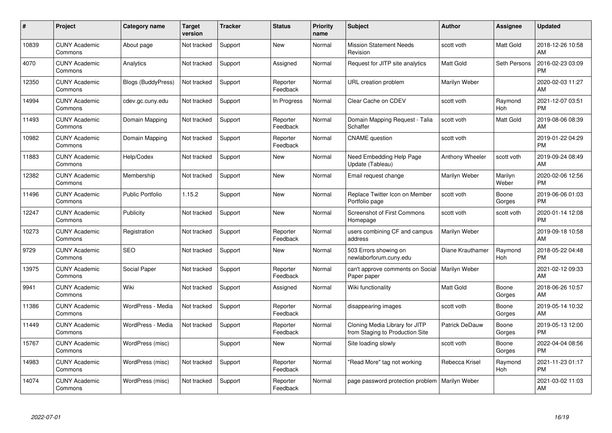| $\#$  | Project                         | <b>Category name</b>      | Target<br>version | <b>Tracker</b> | <b>Status</b>        | Priority<br>name | <b>Subject</b>                                                    | <b>Author</b>    | <b>Assignee</b>  | <b>Updated</b>                |
|-------|---------------------------------|---------------------------|-------------------|----------------|----------------------|------------------|-------------------------------------------------------------------|------------------|------------------|-------------------------------|
| 10839 | <b>CUNY Academic</b><br>Commons | About page                | Not tracked       | Support        | <b>New</b>           | Normal           | <b>Mission Statement Needs</b><br>Revision                        | scott voth       | Matt Gold        | 2018-12-26 10:58<br>AM        |
| 4070  | <b>CUNY Academic</b><br>Commons | Analytics                 | Not tracked       | Support        | Assigned             | Normal           | Request for JITP site analytics                                   | <b>Matt Gold</b> | Seth Persons     | 2016-02-23 03:09<br><b>PM</b> |
| 12350 | <b>CUNY Academic</b><br>Commons | <b>Blogs (BuddyPress)</b> | Not tracked       | Support        | Reporter<br>Feedback | Normal           | URL creation problem                                              | Marilyn Weber    |                  | 2020-02-03 11:27<br>AM        |
| 14994 | <b>CUNY Academic</b><br>Commons | cdev.gc.cuny.edu          | Not tracked       | Support        | In Progress          | Normal           | Clear Cache on CDEV                                               | scott voth       | Raymond<br>Hoh   | 2021-12-07 03:51<br><b>PM</b> |
| 11493 | <b>CUNY Academic</b><br>Commons | Domain Mapping            | Not tracked       | Support        | Reporter<br>Feedback | Normal           | Domain Mapping Request - Talia<br>Schaffer                        | scott voth       | <b>Matt Gold</b> | 2019-08-06 08:39<br>AM        |
| 10982 | <b>CUNY Academic</b><br>Commons | Domain Mapping            | Not tracked       | Support        | Reporter<br>Feedback | Normal           | <b>CNAME</b> question                                             | scott voth       |                  | 2019-01-22 04:29<br><b>PM</b> |
| 11883 | <b>CUNY Academic</b><br>Commons | Help/Codex                | Not tracked       | Support        | <b>New</b>           | Normal           | Need Embedding Help Page<br>Update (Tableau)                      | Anthony Wheeler  | scott voth       | 2019-09-24 08:49<br>AM        |
| 12382 | <b>CUNY Academic</b><br>Commons | Membership                | Not tracked       | Support        | <b>New</b>           | Normal           | Email request change                                              | Marilyn Weber    | Marilyn<br>Weber | 2020-02-06 12:56<br><b>PM</b> |
| 11496 | <b>CUNY Academic</b><br>Commons | <b>Public Portfolio</b>   | 1.15.2            | Support        | New                  | Normal           | Replace Twitter Icon on Member<br>Portfolio page                  | scott voth       | Boone<br>Gorges  | 2019-06-06 01:03<br><b>PM</b> |
| 12247 | <b>CUNY Academic</b><br>Commons | Publicity                 | Not tracked       | Support        | New                  | Normal           | <b>Screenshot of First Commons</b><br>Homepage                    | scott voth       | scott voth       | 2020-01-14 12:08<br><b>PM</b> |
| 10273 | <b>CUNY Academic</b><br>Commons | Registration              | Not tracked       | Support        | Reporter<br>Feedback | Normal           | users combining CF and campus<br>address                          | Marilyn Weber    |                  | 2019-09-18 10:58<br>AM        |
| 9729  | <b>CUNY Academic</b><br>Commons | <b>SEO</b>                | Not tracked       | Support        | <b>New</b>           | Normal           | 503 Errors showing on<br>newlaborforum.cuny.edu                   | Diane Krauthamer | Raymond<br>Hoh   | 2018-05-22 04:48<br><b>PM</b> |
| 13975 | <b>CUNY Academic</b><br>Commons | Social Paper              | Not tracked       | Support        | Reporter<br>Feedback | Normal           | can't approve comments on Social<br>Paper paper                   | Marilyn Weber    |                  | 2021-02-12 09:33<br>AM        |
| 9941  | <b>CUNY Academic</b><br>Commons | Wiki                      | Not tracked       | Support        | Assigned             | Normal           | Wiki functionality                                                | <b>Matt Gold</b> | Boone<br>Gorges  | 2018-06-26 10:57<br>AM        |
| 11386 | <b>CUNY Academic</b><br>Commons | WordPress - Media         | Not tracked       | Support        | Reporter<br>Feedback | Normal           | disappearing images                                               | scott voth       | Boone<br>Gorges  | 2019-05-14 10:32<br>AM        |
| 11449 | <b>CUNY Academic</b><br>Commons | WordPress - Media         | Not tracked       | Support        | Reporter<br>Feedback | Normal           | Cloning Media Library for JITP<br>from Staging to Production Site | Patrick DeDauw   | Boone<br>Gorges  | 2019-05-13 12:00<br><b>PM</b> |
| 15767 | <b>CUNY Academic</b><br>Commons | WordPress (misc)          |                   | Support        | New                  | Normal           | Site loading slowly                                               | scott voth       | Boone<br>Gorges  | 2022-04-04 08:56<br><b>PM</b> |
| 14983 | <b>CUNY Academic</b><br>Commons | WordPress (misc)          | Not tracked       | Support        | Reporter<br>Feedback | Normal           | "Read More" tag not working                                       | Rebecca Krisel   | Raymond<br>Hoh   | 2021-11-23 01:17<br><b>PM</b> |
| 14074 | CUNY Academic<br>Commons        | WordPress (misc)          | Not tracked       | Support        | Reporter<br>Feedback | Normal           | page password protection problem                                  | Marilyn Weber    |                  | 2021-03-02 11:03<br>AM        |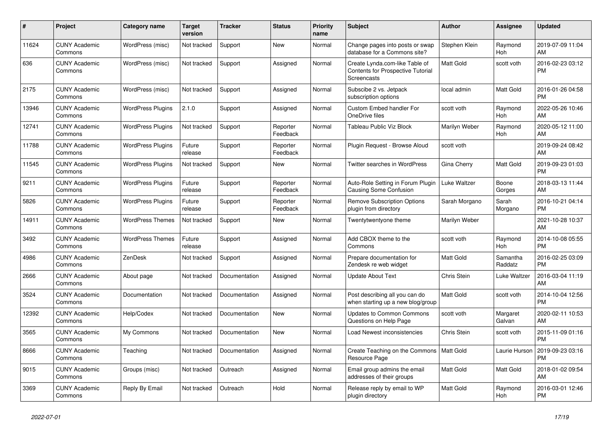| $\pmb{\#}$ | <b>Project</b>                  | <b>Category name</b>     | <b>Target</b><br>version | <b>Tracker</b> | <b>Status</b>        | <b>Priority</b><br>name | <b>Subject</b>                                                                            | <b>Author</b>    | Assignee            | <b>Updated</b>                |
|------------|---------------------------------|--------------------------|--------------------------|----------------|----------------------|-------------------------|-------------------------------------------------------------------------------------------|------------------|---------------------|-------------------------------|
| 11624      | <b>CUNY Academic</b><br>Commons | WordPress (misc)         | Not tracked              | Support        | <b>New</b>           | Normal                  | Change pages into posts or swap<br>database for a Commons site?                           | Stephen Klein    | Raymond<br>Hoh      | 2019-07-09 11:04<br>AM        |
| 636        | <b>CUNY Academic</b><br>Commons | WordPress (misc)         | Not tracked              | Support        | Assigned             | Normal                  | Create Lynda.com-like Table of<br><b>Contents for Prospective Tutorial</b><br>Screencasts | Matt Gold        | scott voth          | 2016-02-23 03:12<br><b>PM</b> |
| 2175       | <b>CUNY Academic</b><br>Commons | WordPress (misc)         | Not tracked              | Support        | Assigned             | Normal                  | Subscibe 2 vs. Jetpack<br>subscription options                                            | local admin      | Matt Gold           | 2016-01-26 04:58<br><b>PM</b> |
| 13946      | <b>CUNY Academic</b><br>Commons | <b>WordPress Plugins</b> | 2.1.0                    | Support        | Assigned             | Normal                  | <b>Custom Embed handler For</b><br>OneDrive files                                         | scott voth       | Raymond<br>Hoh      | 2022-05-26 10:46<br>AM        |
| 12741      | <b>CUNY Academic</b><br>Commons | <b>WordPress Plugins</b> | Not tracked              | Support        | Reporter<br>Feedback | Normal                  | Tableau Public Viz Block                                                                  | Marilyn Weber    | Raymond<br>Hoh      | 2020-05-12 11:00<br>AM        |
| 11788      | <b>CUNY Academic</b><br>Commons | <b>WordPress Plugins</b> | Future<br>release        | Support        | Reporter<br>Feedback | Normal                  | Plugin Request - Browse Aloud                                                             | scott voth       |                     | 2019-09-24 08:42<br>AM        |
| 11545      | <b>CUNY Academic</b><br>Commons | <b>WordPress Plugins</b> | Not tracked              | Support        | <b>New</b>           | Normal                  | Twitter searches in WordPress                                                             | Gina Cherry      | Matt Gold           | 2019-09-23 01:03<br><b>PM</b> |
| 9211       | <b>CUNY Academic</b><br>Commons | <b>WordPress Plugins</b> | Future<br>release        | Support        | Reporter<br>Feedback | Normal                  | Auto-Role Setting in Forum Plugin<br>Causing Some Confusion                               | Luke Waltzer     | Boone<br>Gorges     | 2018-03-13 11:44<br>AM        |
| 5826       | <b>CUNY Academic</b><br>Commons | <b>WordPress Plugins</b> | Future<br>release        | Support        | Reporter<br>Feedback | Normal                  | <b>Remove Subscription Options</b><br>plugin from directory                               | Sarah Morgano    | Sarah<br>Morgano    | 2016-10-21 04:14<br><b>PM</b> |
| 14911      | <b>CUNY Academic</b><br>Commons | <b>WordPress Themes</b>  | Not tracked              | Support        | <b>New</b>           | Normal                  | Twentytwentyone theme                                                                     | Marilyn Weber    |                     | 2021-10-28 10:37<br>AM        |
| 3492       | <b>CUNY Academic</b><br>Commons | <b>WordPress Themes</b>  | Future<br>release        | Support        | Assigned             | Normal                  | Add CBOX theme to the<br>Commons                                                          | scott voth       | Raymond<br>Hoh      | 2014-10-08 05:55<br><b>PM</b> |
| 4986       | <b>CUNY Academic</b><br>Commons | ZenDesk                  | Not tracked              | Support        | Assigned             | Normal                  | Prepare documentation for<br>Zendesk re web widget                                        | <b>Matt Gold</b> | Samantha<br>Raddatz | 2016-02-25 03:09<br><b>PM</b> |
| 2666       | <b>CUNY Academic</b><br>Commons | About page               | Not tracked              | Documentation  | Assigned             | Normal                  | <b>Update About Text</b>                                                                  | Chris Stein      | Luke Waltzer        | 2016-03-04 11:19<br>AM        |
| 3524       | <b>CUNY Academic</b><br>Commons | Documentation            | Not tracked              | Documentation  | Assigned             | Normal                  | Post describing all you can do<br>when starting up a new blog/group                       | Matt Gold        | scott voth          | 2014-10-04 12:56<br><b>PM</b> |
| 12392      | <b>CUNY Academic</b><br>Commons | Help/Codex               | Not tracked              | Documentation  | New                  | Normal                  | <b>Updates to Common Commons</b><br>Questions on Help Page                                | scott voth       | Margaret<br>Galvan  | 2020-02-11 10:53<br>AM        |
| 3565       | <b>CUNY Academic</b><br>Commons | My Commons               | Not tracked              | Documentation  | <b>New</b>           | Normal                  | Load Newest inconsistencies                                                               | Chris Stein      | scott voth          | 2015-11-09 01:16<br><b>PM</b> |
| 8666       | <b>CUNY Academic</b><br>Commons | Teaching                 | Not tracked              | Documentation  | Assigned             | Normal                  | Create Teaching on the Commons   Matt Gold<br>Resource Page                               |                  | Laurie Hurson       | 2019-09-23 03:16<br><b>PM</b> |
| 9015       | <b>CUNY Academic</b><br>Commons | Groups (misc)            | Not tracked              | Outreach       | Assigned             | Normal                  | Email group admins the email<br>addresses of their groups                                 | Matt Gold        | Matt Gold           | 2018-01-02 09:54<br>AM        |
| 3369       | <b>CUNY Academic</b><br>Commons | Reply By Email           | Not tracked              | Outreach       | Hold                 | Normal                  | Release reply by email to WP<br>plugin directory                                          | <b>Matt Gold</b> | Raymond<br>Hoh      | 2016-03-01 12:46<br><b>PM</b> |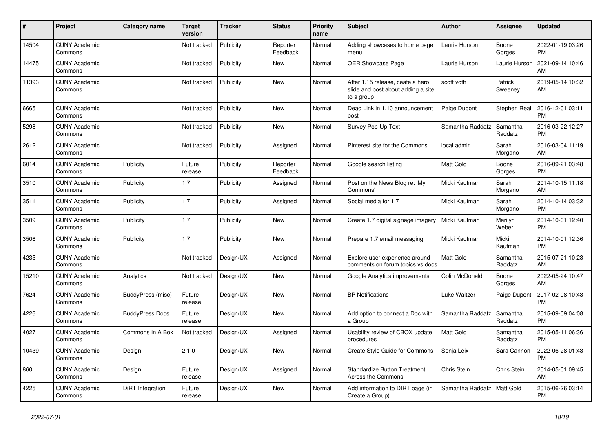| #     | Project                         | <b>Category name</b>   | <b>Target</b><br>version | <b>Tracker</b> | <b>Status</b>        | <b>Priority</b><br>name | <b>Subject</b>                                                                       | <b>Author</b>    | <b>Assignee</b>     | <b>Updated</b>                |
|-------|---------------------------------|------------------------|--------------------------|----------------|----------------------|-------------------------|--------------------------------------------------------------------------------------|------------------|---------------------|-------------------------------|
| 14504 | <b>CUNY Academic</b><br>Commons |                        | Not tracked              | Publicity      | Reporter<br>Feedback | Normal                  | Adding showcases to home page<br>menu                                                | Laurie Hurson    | Boone<br>Gorges     | 2022-01-19 03:26<br><b>PM</b> |
| 14475 | <b>CUNY Academic</b><br>Commons |                        | Not tracked              | Publicity      | New                  | Normal                  | <b>OER Showcase Page</b>                                                             | Laurie Hurson    | Laurie Hurson       | 2021-09-14 10:46<br>AM        |
| 11393 | <b>CUNY Academic</b><br>Commons |                        | Not tracked              | Publicity      | <b>New</b>           | Normal                  | After 1.15 release, ceate a hero<br>slide and post about adding a site<br>to a group | scott voth       | Patrick<br>Sweeney  | 2019-05-14 10:32<br>AM        |
| 6665  | <b>CUNY Academic</b><br>Commons |                        | Not tracked              | Publicity      | New                  | Normal                  | Dead Link in 1.10 announcement<br>post                                               | Paige Dupont     | Stephen Real        | 2016-12-01 03:11<br><b>PM</b> |
| 5298  | <b>CUNY Academic</b><br>Commons |                        | Not tracked              | Publicity      | New                  | Normal                  | Survey Pop-Up Text                                                                   | Samantha Raddatz | Samantha<br>Raddatz | 2016-03-22 12:27<br><b>PM</b> |
| 2612  | <b>CUNY Academic</b><br>Commons |                        | Not tracked              | Publicity      | Assigned             | Normal                  | Pinterest site for the Commons                                                       | local admin      | Sarah<br>Morgano    | 2016-03-04 11:19<br>AM        |
| 6014  | <b>CUNY Academic</b><br>Commons | Publicity              | Future<br>release        | Publicity      | Reporter<br>Feedback | Normal                  | Google search listing                                                                | Matt Gold        | Boone<br>Gorges     | 2016-09-21 03:48<br><b>PM</b> |
| 3510  | <b>CUNY Academic</b><br>Commons | Publicity              | 1.7                      | Publicity      | Assigned             | Normal                  | Post on the News Blog re: 'My<br>Commons'                                            | Micki Kaufman    | Sarah<br>Morgano    | 2014-10-15 11:18<br><b>AM</b> |
| 3511  | <b>CUNY Academic</b><br>Commons | Publicity              | 1.7                      | Publicity      | Assigned             | Normal                  | Social media for 1.7                                                                 | Micki Kaufman    | Sarah<br>Morgano    | 2014-10-14 03:32<br><b>PM</b> |
| 3509  | <b>CUNY Academic</b><br>Commons | Publicity              | 1.7                      | Publicity      | New                  | Normal                  | Create 1.7 digital signage imagery                                                   | Micki Kaufman    | Marilyn<br>Weber    | 2014-10-01 12:40<br><b>PM</b> |
| 3506  | <b>CUNY Academic</b><br>Commons | Publicity              | 1.7                      | Publicity      | New                  | Normal                  | Prepare 1.7 email messaging                                                          | Micki Kaufman    | Micki<br>Kaufman    | 2014-10-01 12:36<br><b>PM</b> |
| 4235  | <b>CUNY Academic</b><br>Commons |                        | Not tracked              | Design/UX      | Assigned             | Normal                  | Explore user experience around<br>comments on forum topics vs docs                   | <b>Matt Gold</b> | Samantha<br>Raddatz | 2015-07-21 10:23<br>AM        |
| 15210 | <b>CUNY Academic</b><br>Commons | Analytics              | Not tracked              | Design/UX      | New                  | Normal                  | Google Analytics improvements                                                        | Colin McDonald   | Boone<br>Gorges     | 2022-05-24 10:47<br>AM        |
| 7624  | <b>CUNY Academic</b><br>Commons | BuddyPress (misc)      | Future<br>release        | Design/UX      | New                  | Normal                  | <b>BP Notifications</b>                                                              | Luke Waltzer     | Paige Dupont        | 2017-02-08 10:43<br><b>PM</b> |
| 4226  | <b>CUNY Academic</b><br>Commons | <b>BuddyPress Docs</b> | Future<br>release        | Design/UX      | New                  | Normal                  | Add option to connect a Doc with<br>a Group                                          | Samantha Raddatz | Samantha<br>Raddatz | 2015-09-09 04:08<br><b>PM</b> |
| 4027  | <b>CUNY Academic</b><br>Commons | Commons In A Box       | Not tracked              | Design/UX      | Assigned             | Normal                  | Usability review of CBOX update<br>procedures                                        | <b>Matt Gold</b> | Samantha<br>Raddatz | 2015-05-11 06:36<br><b>PM</b> |
| 10439 | <b>CUNY Academic</b><br>Commons | Design                 | 2.1.0                    | Design/UX      | <b>New</b>           | Normal                  | Create Style Guide for Commons                                                       | Sonja Leix       | Sara Cannon         | 2022-06-28 01:43<br><b>PM</b> |
| 860   | <b>CUNY Academic</b><br>Commons | Design                 | Future<br>release        | Design/UX      | Assigned             | Normal                  | <b>Standardize Button Treatment</b><br>Across the Commons                            | Chris Stein      | Chris Stein         | 2014-05-01 09:45<br>AM        |
| 4225  | <b>CUNY Academic</b><br>Commons | DiRT Integration       | Future<br>release        | Design/UX      | <b>New</b>           | Normal                  | Add information to DIRT page (in<br>Create a Group)                                  | Samantha Raddatz | Matt Gold           | 2015-06-26 03:14<br><b>PM</b> |